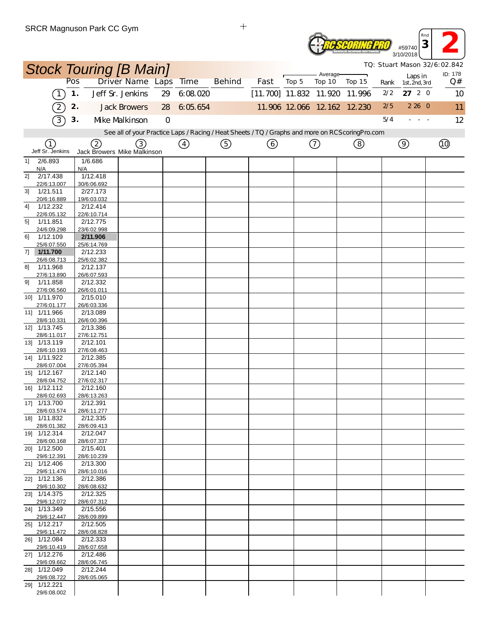

*TQ: Stuart Mason 32/6:02.842*

|    |                             |               | <b>Stock Touring [B Main]</b> |                       |                |               |                                                                                                   |                          |       | Average-                    |        |      |                |                          | TQ: Stuart Mason 32/6:02.842<br>ID: 178 |
|----|-----------------------------|---------------|-------------------------------|-----------------------|----------------|---------------|---------------------------------------------------------------------------------------------------|--------------------------|-------|-----------------------------|--------|------|----------------|--------------------------|-----------------------------------------|
|    |                             | Pos           |                               | Driver Name Laps Time |                |               | <b>Behind</b>                                                                                     | Fast                     | Top 5 | Top 10                      | Top 15 | Rank |                | Laps in<br>1st, 2nd, 3rd | Q#                                      |
|    | $\left(1\right)$            | $\mathbf 1$ . |                               | Jeff Sr. Jenkins      | 29             | 6:08.020      |                                                                                                   | $[11.700]$ 11.832 11.920 |       |                             | 11.996 | 2/2  |                | 27 2 0                   | 10                                      |
|    | $\widehat{2}$               | 2.            |                               | <b>Jack Browers</b>   | 28             | 6:05.654      |                                                                                                   |                          |       | 11.906 12.066 12.162 12.230 |        | 2/5  |                | 2260                     | 11                                      |
|    | $\sqrt{3}$                  | 3.            |                               | Mke Malkinson         | $\overline{O}$ |               |                                                                                                   |                          |       |                             |        | 5/4  |                | $\sim$ $ \sim$           | 12                                      |
|    |                             |               |                               |                       |                |               | See all of your Practice Laps / Racing / Heat Sheets / TQ / Graphs and more on RCS coring Pro.com |                          |       |                             |        |      |                |                          |                                         |
|    | (1)                         |               | 2                             | (3)                   |                | $\circled{4}$ | ⑤                                                                                                 | (6)                      |       | ⑦                           | (8)    |      | $\circledcirc$ |                          | $\circled{1}$                           |
|    | Jeff Sr. Jenkins            |               | Jack Browers Mike Malkinson   |                       |                |               |                                                                                                   |                          |       |                             |        |      |                |                          |                                         |
| 1] | 2/6.893<br>N/A              |               | 1/6.686<br>N/A                |                       |                |               |                                                                                                   |                          |       |                             |        |      |                |                          |                                         |
| 21 | 2/17.438                    |               | 1/12.418                      |                       |                |               |                                                                                                   |                          |       |                             |        |      |                |                          |                                         |
| 31 | 22/6:13.007<br>1/21.511     |               | 30/6:06.692<br>2/27.173       |                       |                |               |                                                                                                   |                          |       |                             |        |      |                |                          |                                         |
|    | 20/6:16.889                 |               | 19/6:03.032                   |                       |                |               |                                                                                                   |                          |       |                             |        |      |                |                          |                                         |
| 4] | 1/12.232<br>22/6:05.132     |               | 2/12.414<br>22/6:10.714       |                       |                |               |                                                                                                   |                          |       |                             |        |      |                |                          |                                         |
| 5] | 1/11.851                    |               | 2/12.775                      |                       |                |               |                                                                                                   |                          |       |                             |        |      |                |                          |                                         |
|    | 24/6:09.298                 |               | 23/6:02.998                   |                       |                |               |                                                                                                   |                          |       |                             |        |      |                |                          |                                         |
| 61 | 1/12.109<br>25/6:07.550     |               | 2/11.906<br>25/6:14.769       |                       |                |               |                                                                                                   |                          |       |                             |        |      |                |                          |                                         |
| 7] | 1/11.700                    |               | 2/12.233                      |                       |                |               |                                                                                                   |                          |       |                             |        |      |                |                          |                                         |
| 81 | 26/6:08.713<br>1/11.968     |               | 25/6:02.382<br>2/12.137       |                       |                |               |                                                                                                   |                          |       |                             |        |      |                |                          |                                         |
|    | 27/6:13.890                 |               | 26/6:07.593                   |                       |                |               |                                                                                                   |                          |       |                             |        |      |                |                          |                                         |
| 9] | 1/11.858                    |               | 2/12.332                      |                       |                |               |                                                                                                   |                          |       |                             |        |      |                |                          |                                         |
|    | 27/6:06.560<br>10] 1/11.970 |               | 26/6:01.011<br>2/15.010       |                       |                |               |                                                                                                   |                          |       |                             |        |      |                |                          |                                         |
|    | 27/6:01.177                 |               | 26/6:03.336                   |                       |                |               |                                                                                                   |                          |       |                             |        |      |                |                          |                                         |
|    | 11] 1/11.966<br>28/6:10.331 |               | 2/13.089<br>26/6:00.396       |                       |                |               |                                                                                                   |                          |       |                             |        |      |                |                          |                                         |
|    | 12] 1/13.745                |               | 2/13.386                      |                       |                |               |                                                                                                   |                          |       |                             |        |      |                |                          |                                         |
|    | 28/6:11.017<br>13] 1/13.119 |               | 27/6:12.751<br>2/12.101       |                       |                |               |                                                                                                   |                          |       |                             |        |      |                |                          |                                         |
|    | 28/6:10.193                 |               | 27/6:08.463                   |                       |                |               |                                                                                                   |                          |       |                             |        |      |                |                          |                                         |
|    | 14] 1/11.922                |               | 2/12.385                      |                       |                |               |                                                                                                   |                          |       |                             |        |      |                |                          |                                         |
|    | 28/6:07.004<br>15] 1/12.167 |               | 27/6:05.394<br>2/12.140       |                       |                |               |                                                                                                   |                          |       |                             |        |      |                |                          |                                         |
|    | 28/6:04.752                 |               | 27/6:02.317                   |                       |                |               |                                                                                                   |                          |       |                             |        |      |                |                          |                                         |
|    | 16] 1/12.112<br>28/6:02.693 |               | 2/12.160<br>28/6:13.263       |                       |                |               |                                                                                                   |                          |       |                             |        |      |                |                          |                                         |
|    | 17] 1/13.700                |               | 2/12.391                      |                       |                |               |                                                                                                   |                          |       |                             |        |      |                |                          |                                         |
|    | 28/6:03.574<br>18] 1/11.832 |               | 28/6:11.277<br>2/12.335       |                       |                |               |                                                                                                   |                          |       |                             |        |      |                |                          |                                         |
|    | 28/6:01.382                 |               | 28/6:09.413                   |                       |                |               |                                                                                                   |                          |       |                             |        |      |                |                          |                                         |
|    | 19] 1/12.314                |               | 2/12.047                      |                       |                |               |                                                                                                   |                          |       |                             |        |      |                |                          |                                         |
|    | 28/6:00.168<br>20] 1/12.500 |               | 28/6:07.337<br>2/15.401       |                       |                |               |                                                                                                   |                          |       |                             |        |      |                |                          |                                         |
|    | 29/6:12.391                 |               | 28/6:10.239                   |                       |                |               |                                                                                                   |                          |       |                             |        |      |                |                          |                                         |
|    | 21] 1/12.406<br>29/6:11.476 |               | 2/13.300<br>28/6:10.016       |                       |                |               |                                                                                                   |                          |       |                             |        |      |                |                          |                                         |
|    | 22] 1/12.136                |               | 2/12.386                      |                       |                |               |                                                                                                   |                          |       |                             |        |      |                |                          |                                         |
|    | 29/6:10.302<br>23] 1/14.375 |               | 28/6:08.632<br>2/12.325       |                       |                |               |                                                                                                   |                          |       |                             |        |      |                |                          |                                         |
|    | 29/6:12.072                 |               | 28/6:07.312                   |                       |                |               |                                                                                                   |                          |       |                             |        |      |                |                          |                                         |
|    | 24] 1/13.349                |               | 2/15.556                      |                       |                |               |                                                                                                   |                          |       |                             |        |      |                |                          |                                         |
|    | 29/6:12.447<br>25] 1/12.217 |               | 28/6:09.899<br>2/12.505       |                       |                |               |                                                                                                   |                          |       |                             |        |      |                |                          |                                         |
|    | 29/6:11.472                 |               | 28/6:08.828                   |                       |                |               |                                                                                                   |                          |       |                             |        |      |                |                          |                                         |
|    | 26] 1/12.084<br>29/6:10.419 |               | 2/12.333<br>28/6:07.658       |                       |                |               |                                                                                                   |                          |       |                             |        |      |                |                          |                                         |
|    | 27] 1/12.276                |               | 2/12.486                      |                       |                |               |                                                                                                   |                          |       |                             |        |      |                |                          |                                         |
|    | 29/6:09.662<br>28] 1/12.049 |               | 28/6:06.745<br>2/12.244       |                       |                |               |                                                                                                   |                          |       |                             |        |      |                |                          |                                         |
|    | 29/6:08.722                 |               | 28/6:05.065                   |                       |                |               |                                                                                                   |                          |       |                             |        |      |                |                          |                                         |
|    | 29] 1/12.221                |               |                               |                       |                |               |                                                                                                   |                          |       |                             |        |      |                |                          |                                         |
|    | 29/6:08.002                 |               |                               |                       |                |               |                                                                                                   |                          |       |                             |        |      |                |                          |                                         |

 $\ddot{+}$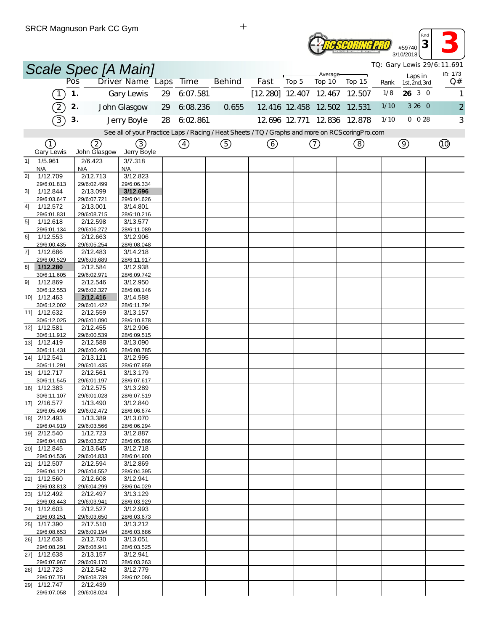| <b>TWARE</b> | #59740<br>3/10/2018 |
|--------------|---------------------|
|              |                     |

*Rnd* **<sup>3</sup> 3**

| TQ: Gary Lewis 29/6:11.691<br>Scale Spec [A Main]<br>ID: 173 |                             |     |                         |                                                                                                 |    |                   |               |                          |       |                             |        |      |                          |                |
|--------------------------------------------------------------|-----------------------------|-----|-------------------------|-------------------------------------------------------------------------------------------------|----|-------------------|---------------|--------------------------|-------|-----------------------------|--------|------|--------------------------|----------------|
|                                                              |                             | Pos |                         | Driver Name Laps                                                                                |    | Time              | <b>Behind</b> | Fast                     | Top 5 | Average-<br>Top 10          | Top 15 | Rank | Laps in<br>1st, 2nd, 3rd | Q#             |
|                                                              | $\left(1\right)$            | 1.  |                         | Gary Lewis                                                                                      | 29 | 6:07.581          |               | $[12.280]$ 12.407 12.467 |       |                             | 12.507 | 1/8  | 26 3 0                   | 1              |
|                                                              | $\left( 2\right)$           | 2.  |                         | John Glasgow                                                                                    | 29 | 6.08.236          | 0.655         |                          |       | 12 416 12 458 12 502 12 531 |        | 1/10 | 3 26 0                   | $\overline{2}$ |
|                                                              | $\mathcal{C}$               | 3.  |                         | Jerry Boyle                                                                                     | 28 | 6:02.861          |               |                          |       | 12.696 12.771 12.836 12.878 |        | 1/10 | $0\ 0\ 28$               | 3              |
|                                                              |                             |     |                         | See all of your Practice Laps / Racing / Heat Sheets / TQ / Graphs and more on RCScoringPro.com |    |                   |               |                          |       |                             |        |      |                          |                |
|                                                              | ①                           |     |                         |                                                                                                 |    |                   |               |                          |       |                             |        |      |                          |                |
|                                                              | <b>Gary Lewis</b>           |     | 2<br>John Glasgow       | (3)<br>Jerry Boyle                                                                              |    | $\left( 4\right)$ | (5)           | (6)                      |       | (7)                         | (8)    |      | $\circledcirc$           |                |
| 11                                                           | 1/5.961                     |     | 2/6.423                 | 3/7.318                                                                                         |    |                   |               |                          |       |                             |        |      |                          |                |
| 2]                                                           | N/A<br>1/12.709             | N/A | 2/12.713                | N/A<br>3/12.823                                                                                 |    |                   |               |                          |       |                             |        |      |                          |                |
|                                                              | 29/6:01.813                 |     | 29/6:02.499             | 29/6:06.334                                                                                     |    |                   |               |                          |       |                             |        |      |                          |                |
| 3]                                                           | 1/12.844<br>29/6:03.647     |     | 2/13.099<br>29/6:07.721 | 3/12.696<br>29/6:04.626                                                                         |    |                   |               |                          |       |                             |        |      |                          |                |
| 41                                                           | 1/12.572                    |     | 2/13.001                | 3/14.801                                                                                        |    |                   |               |                          |       |                             |        |      |                          |                |
|                                                              | 29/6:01.831                 |     | 29/6:08.715             | 28/6:10.216                                                                                     |    |                   |               |                          |       |                             |        |      |                          |                |
| 5]                                                           | 1/12.618<br>29/6:01.134     |     | 2/12.598<br>29/6:06.272 | 3/13.577<br>28/6:11.089                                                                         |    |                   |               |                          |       |                             |        |      |                          |                |
| 61                                                           | 1/12.553                    |     | 2/12.663                | 3/12.906                                                                                        |    |                   |               |                          |       |                             |        |      |                          |                |
|                                                              | 29/6:00.435                 |     | 29/6:05.254             | 28/6:08.048                                                                                     |    |                   |               |                          |       |                             |        |      |                          |                |
| 7]                                                           | 1/12.686<br>29/6:00.529     |     | 2/12.483<br>29/6:03.689 | 3/14.218<br>28/6:11.917                                                                         |    |                   |               |                          |       |                             |        |      |                          |                |
| 81                                                           | 1/12.280                    |     | 2/12.584                | 3/12.938                                                                                        |    |                   |               |                          |       |                             |        |      |                          |                |
| 9]                                                           | 30/6:11.605<br>1/12.869     |     | 29/6:02.971<br>2/12.546 | 28/6:09.742<br>3/12.950                                                                         |    |                   |               |                          |       |                             |        |      |                          |                |
|                                                              | 30/6:12.553                 |     | 29/6:02.327             | 28/6:08.146                                                                                     |    |                   |               |                          |       |                             |        |      |                          |                |
| 10]                                                          | 1/12.463                    |     | 2/12.416                | 3/14.588                                                                                        |    |                   |               |                          |       |                             |        |      |                          |                |
|                                                              | 30/6:12.002<br>11] 1/12.632 |     | 29/6:01.422<br>2/12.559 | 28/6:11.794<br>3/13.157                                                                         |    |                   |               |                          |       |                             |        |      |                          |                |
|                                                              | 30/6:12.025                 |     | 29/6:01.090             | 28/6:10.878                                                                                     |    |                   |               |                          |       |                             |        |      |                          |                |
|                                                              | 12] 1/12.581                |     | 2/12.455                | 3/12.906                                                                                        |    |                   |               |                          |       |                             |        |      |                          |                |
|                                                              | 30/6:11.912<br>13] 1/12.419 |     | 29/6:00.539<br>2/12.588 | 28/6:09.515<br>3/13.090                                                                         |    |                   |               |                          |       |                             |        |      |                          |                |
|                                                              | 30/6:11.431                 |     | 29/6:00.406             | 28/6:08.785                                                                                     |    |                   |               |                          |       |                             |        |      |                          |                |
|                                                              | 14] 1/12.541                |     | 2/13.121                | 3/12.995                                                                                        |    |                   |               |                          |       |                             |        |      |                          |                |
|                                                              | 30/6:11.291<br>15] 1/12.717 |     | 29/6:01.435<br>2/12.561 | 28/6:07.959<br>3/13.179                                                                         |    |                   |               |                          |       |                             |        |      |                          |                |
|                                                              | 30/6:11.545                 |     | 29/6:01.197             | 28/6:07.617                                                                                     |    |                   |               |                          |       |                             |        |      |                          |                |
|                                                              | 16] 1/12.383<br>30/6:11.107 |     | 2/12.575<br>29/6:01.028 | 3/13.289<br>28/6:07.519                                                                         |    |                   |               |                          |       |                             |        |      |                          |                |
|                                                              | 17] 2/16.577                |     | 1/13.490                | 3/12.840                                                                                        |    |                   |               |                          |       |                             |        |      |                          |                |
|                                                              | 29/6:05.496                 |     | 29/6:02.472             | 28/6:06.674                                                                                     |    |                   |               |                          |       |                             |        |      |                          |                |
|                                                              | 18] 2/12.493<br>29/6:04.919 |     | 1/13.389<br>29/6:03.566 | 3/13.070<br>28/6:06.294                                                                         |    |                   |               |                          |       |                             |        |      |                          |                |
|                                                              | 19] 2/12.540                |     | 1/12.723                | 3/12.887                                                                                        |    |                   |               |                          |       |                             |        |      |                          |                |
|                                                              | 29/6:04.483                 |     | 29/6:03.527             | 28/6:05.686                                                                                     |    |                   |               |                          |       |                             |        |      |                          |                |
|                                                              | 20] 1/12.845<br>29/6:04.536 |     | 2/13.645<br>29/6:04.833 | 3/12.718<br>28/6:04.900                                                                         |    |                   |               |                          |       |                             |        |      |                          |                |
|                                                              | 21] 1/12.507                |     | 2/12.594                | 3/12.869                                                                                        |    |                   |               |                          |       |                             |        |      |                          |                |
|                                                              | 29/6:04.121<br>22] 1/12.560 |     | 29/6:04.552<br>2/12.608 | 28/6:04.395<br>3/12.941                                                                         |    |                   |               |                          |       |                             |        |      |                          |                |
|                                                              | 29/6:03.813                 |     | 29/6:04.299             | 28/6:04.029                                                                                     |    |                   |               |                          |       |                             |        |      |                          |                |
|                                                              | 23] 1/12.492                |     | 2/12.497                | 3/13.129                                                                                        |    |                   |               |                          |       |                             |        |      |                          |                |
|                                                              | 29/6:03.443<br>24] 1/12.603 |     | 29/6:03.941<br>2/12.527 | 28/6:03.929<br>3/12.993                                                                         |    |                   |               |                          |       |                             |        |      |                          |                |
|                                                              | 29/6:03.251                 |     | 29/6:03.650             | 28/6:03.673                                                                                     |    |                   |               |                          |       |                             |        |      |                          |                |
|                                                              | 25] 1/17.390                |     | 2/17.510                | 3/13.212                                                                                        |    |                   |               |                          |       |                             |        |      |                          |                |
|                                                              | 29/6:08.653<br>26] 1/12.638 |     | 29/6:09.194<br>2/12.730 | 28/6:03.686<br>3/13.051                                                                         |    |                   |               |                          |       |                             |        |      |                          |                |
|                                                              | 29/6:08.291                 |     | 29/6:08.941             | 28/6:03.525                                                                                     |    |                   |               |                          |       |                             |        |      |                          |                |
|                                                              | 27] 1/12.638<br>29/6:07.967 |     | 2/13.157<br>29/6:09.170 | 3/12.941<br>28/6:03.263                                                                         |    |                   |               |                          |       |                             |        |      |                          |                |
|                                                              | 28] 1/12.723                |     | 2/12.542                | 3/12.779                                                                                        |    |                   |               |                          |       |                             |        |      |                          |                |
|                                                              | 29/6:07.751                 |     | 29/6:08.739             | 28/6:02.086                                                                                     |    |                   |               |                          |       |                             |        |      |                          |                |
|                                                              | 29] 1/12.747<br>29/6:07.058 |     | 2/12.439<br>29/6:08.024 |                                                                                                 |    |                   |               |                          |       |                             |        |      |                          |                |

 $\qquad \qquad +$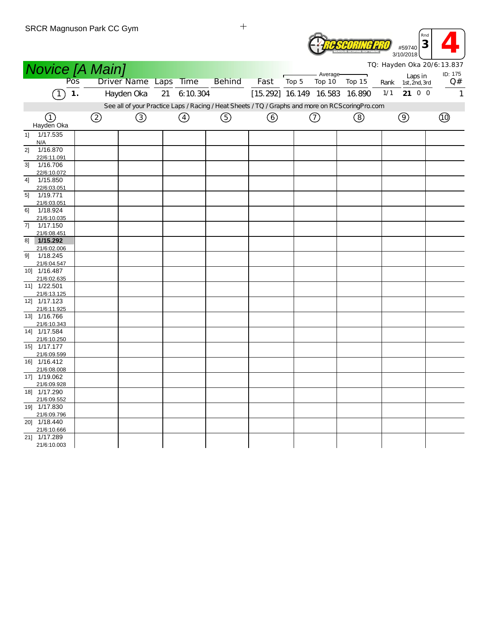

|                             |                | <b>Novice [A Main]</b> |                       |    |          |                                                                                                  |                               |       |            |        |      |                | TQ: Hayden Oka 20/6: 13.837 |
|-----------------------------|----------------|------------------------|-----------------------|----|----------|--------------------------------------------------------------------------------------------------|-------------------------------|-------|------------|--------|------|----------------|-----------------------------|
|                             | Pos            |                        |                       |    |          | <b>Behind</b>                                                                                    |                               |       | - Average- |        |      | Laps in        | ID: 175                     |
|                             |                |                        | Driver Name Laps Time |    |          |                                                                                                  | Fast                          | Top 5 | Top 10     | Top 15 | Rank | 1st, 2nd, 3rd  | Q#                          |
|                             | 1.<br>$\lceil$ |                        | Hayden Oka            | 21 | 6:10.304 |                                                                                                  | [15.292] 16.149 16.583 16.890 |       |            |        | 1/1  | 21 0 0         | $\mathbf{1}$                |
|                             |                |                        |                       |    |          | See all of your Practice Laps / Racing / Heat Sheets / TQ / Graphs and more on RCScoring Pro.com |                               |       |            |        |      |                |                             |
|                             |                |                        |                       |    |          |                                                                                                  |                               |       |            |        |      |                |                             |
| ①<br>Hayden Oka             |                | ②                      | ③                     |    | (4)      | $\circledS$                                                                                      | ⊙                             |       | (7)        | (8)    |      | $\circledcirc$ | (10)                        |
| 1/17.535                    |                |                        |                       |    |          |                                                                                                  |                               |       |            |        |      |                |                             |
| 1]<br>N/A                   |                |                        |                       |    |          |                                                                                                  |                               |       |            |        |      |                |                             |
| 2]<br>1/16.870              |                |                        |                       |    |          |                                                                                                  |                               |       |            |        |      |                |                             |
| 22/6:11.091                 |                |                        |                       |    |          |                                                                                                  |                               |       |            |        |      |                |                             |
| 3]<br>1/16.706              |                |                        |                       |    |          |                                                                                                  |                               |       |            |        |      |                |                             |
| 22/6:10.072                 |                |                        |                       |    |          |                                                                                                  |                               |       |            |        |      |                |                             |
| 1/15.850<br>4]              |                |                        |                       |    |          |                                                                                                  |                               |       |            |        |      |                |                             |
| 22/6:03.051                 |                |                        |                       |    |          |                                                                                                  |                               |       |            |        |      |                |                             |
| 5]<br>1/19.771              |                |                        |                       |    |          |                                                                                                  |                               |       |            |        |      |                |                             |
| 21/6:03.051                 |                |                        |                       |    |          |                                                                                                  |                               |       |            |        |      |                |                             |
| 1/18.924<br>6]              |                |                        |                       |    |          |                                                                                                  |                               |       |            |        |      |                |                             |
| 21/6:10.035<br>1/17.150     |                |                        |                       |    |          |                                                                                                  |                               |       |            |        |      |                |                             |
| 71<br>21/6:08.451           |                |                        |                       |    |          |                                                                                                  |                               |       |            |        |      |                |                             |
| 1/15.292<br>81              |                |                        |                       |    |          |                                                                                                  |                               |       |            |        |      |                |                             |
| 21/6:02.006                 |                |                        |                       |    |          |                                                                                                  |                               |       |            |        |      |                |                             |
| 1/18.245<br>91              |                |                        |                       |    |          |                                                                                                  |                               |       |            |        |      |                |                             |
| 21/6:04.547                 |                |                        |                       |    |          |                                                                                                  |                               |       |            |        |      |                |                             |
| 10] 1/16.487                |                |                        |                       |    |          |                                                                                                  |                               |       |            |        |      |                |                             |
| 21/6:02.635                 |                |                        |                       |    |          |                                                                                                  |                               |       |            |        |      |                |                             |
| 11] 1/22.501                |                |                        |                       |    |          |                                                                                                  |                               |       |            |        |      |                |                             |
| 21/6:13.125                 |                |                        |                       |    |          |                                                                                                  |                               |       |            |        |      |                |                             |
| 12] 1/17.123                |                |                        |                       |    |          |                                                                                                  |                               |       |            |        |      |                |                             |
| 21/6:11.925                 |                |                        |                       |    |          |                                                                                                  |                               |       |            |        |      |                |                             |
| 13] 1/16.766                |                |                        |                       |    |          |                                                                                                  |                               |       |            |        |      |                |                             |
| 21/6:10.343<br>14] 1/17.584 |                |                        |                       |    |          |                                                                                                  |                               |       |            |        |      |                |                             |
| 21/6:10.250                 |                |                        |                       |    |          |                                                                                                  |                               |       |            |        |      |                |                             |
| 15] 1/17.177                |                |                        |                       |    |          |                                                                                                  |                               |       |            |        |      |                |                             |
| 21/6:09.599                 |                |                        |                       |    |          |                                                                                                  |                               |       |            |        |      |                |                             |
| 16] 1/16.412                |                |                        |                       |    |          |                                                                                                  |                               |       |            |        |      |                |                             |
| 21/6:08.008                 |                |                        |                       |    |          |                                                                                                  |                               |       |            |        |      |                |                             |
| 17] 1/19.062                |                |                        |                       |    |          |                                                                                                  |                               |       |            |        |      |                |                             |
| 21/6:09.928                 |                |                        |                       |    |          |                                                                                                  |                               |       |            |        |      |                |                             |
| 18] 1/17.290                |                |                        |                       |    |          |                                                                                                  |                               |       |            |        |      |                |                             |
| 21/6:09.552                 |                |                        |                       |    |          |                                                                                                  |                               |       |            |        |      |                |                             |
| 19] 1/17.830                |                |                        |                       |    |          |                                                                                                  |                               |       |            |        |      |                |                             |
| 21/6:09.796<br>20] 1/18.440 |                |                        |                       |    |          |                                                                                                  |                               |       |            |        |      |                |                             |
| 21/6:10.666                 |                |                        |                       |    |          |                                                                                                  |                               |       |            |        |      |                |                             |
| 21] 1/17.289                |                |                        |                       |    |          |                                                                                                  |                               |       |            |        |      |                |                             |
| 21/6:10.003                 |                |                        |                       |    |          |                                                                                                  |                               |       |            |        |      |                |                             |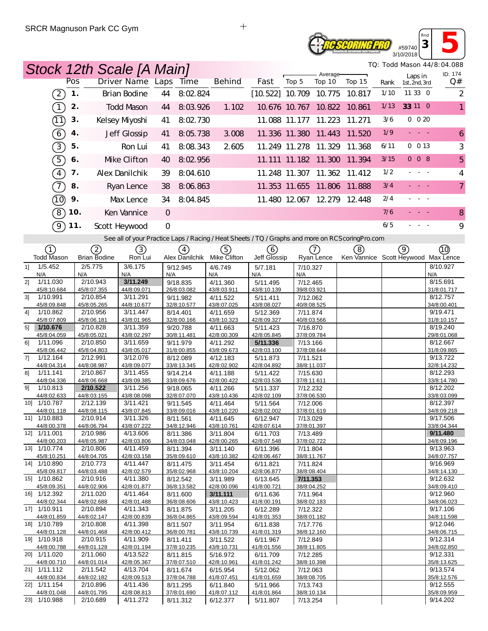## **RE SCORING PRO** #59740 3/10/2018

*Rnd* **<sup>3</sup> 5**

|                               | Stock 12th Scale [A Main] |                         |                         |          |                         |                          |                         |                    |                                                                                                   |      |                          | TQ: Todd Mason 44/8:04.088 |
|-------------------------------|---------------------------|-------------------------|-------------------------|----------|-------------------------|--------------------------|-------------------------|--------------------|---------------------------------------------------------------------------------------------------|------|--------------------------|----------------------------|
|                               | Pos                       | Driver Name Laps        | <b>Time</b>             |          | <b>Behind</b>           | Fast                     | Top 5                   | Average-<br>Top 10 | Top 15                                                                                            | Rank | Laps in<br>1st, 2nd, 3rd | ID: 174<br>Q#              |
| $\left(2\right)$              | 1.                        | <b>Brian Bodine</b>     | 44                      | 8:02.824 |                         | $[10.522]$ 10.709 10.775 |                         |                    | 10.817                                                                                            | 1/10 | 11 33 0                  | $\overline{c}$             |
| $\bigcap$                     | 2.                        | <b>Todd Mason</b>       | 44                      | 8:03.926 | 1.102                   |                          | 10.676 10.767 10.822    |                    | 10.861                                                                                            | 1/13 | 33 11 0                  | $\mathbf{1}$               |
| ্∩ী                           | 3.                        | Kelsey Myoshi           | 41                      | 8:02.730 |                         |                          | 11.088 11.177 11.223    |                    | 11.271                                                                                            | 3/6  | $0\ 0\ 20$               |                            |
| $\left( 6\right)$             | 4.                        | Jeff Glossip            | 41                      | 8:05.738 | 3.008                   |                          | 11.336 11.380 11.443    |                    | 11.520                                                                                            | 1/9  | <b>Carl Car</b>          | 6                          |
|                               |                           |                         |                         |          |                         |                          |                         |                    |                                                                                                   |      |                          |                            |
| $\boxed{3}$                   | 5.                        | Ron Lui                 | 41                      | 8:08.343 | 2605                    |                          | 11.249 11.278 11.329    |                    | 11.368                                                                                            | 6/11 | 0 013                    | 3                          |
| 5                             | 6.                        | Mke Clifton             | 40                      | 8:02.956 |                         |                          |                         |                    | 11.111 11.182 11.300 11.394                                                                       | 3/15 | 008                      | 5                          |
| $\boxed{4}$                   | 7.                        | Alex Danilchik          | 39                      | 8:04.610 |                         |                          |                         |                    | 11.248 11.307 11.362 11.412                                                                       | 1/2  |                          | 4                          |
| $\mathcal{T}$                 | 8.                        | Ryan Lence              | 38                      | 8:06.863 |                         |                          |                         |                    | 11.353 11.655 11.806 11.888                                                                       | 3/4  |                          | $\overline{7}$             |
| ൹                             | 9.                        | Max Lence               | 34                      | 8:04.845 |                         |                          |                         |                    | 11.480 12.067 12.279 12.448                                                                       | 2/4  | $\sim$                   |                            |
| $\bigcirc$                    | 10.                       | Ken Vannice             | $\mathbf{O}$            |          |                         |                          |                         |                    |                                                                                                   | 7/6  |                          | 8                          |
| <u>ර</u>                      | 11.                       | Scott Heywood           | $\mathbf{O}$            |          |                         |                          |                         |                    |                                                                                                   | 6/5  |                          | 9                          |
|                               |                           |                         |                         |          |                         |                          |                         |                    | See all of your Practice Laps / Racing / Heat Sheets / TQ / Graphs and more on RCS coring Pro.com |      |                          |                            |
| ①                             | 2                         | $\left( 3\right)$       | (4)                     |          | ල)                      | (6)                      |                         | $(\mathcal{T})$    | (8)                                                                                               |      | 9)                       | (10)                       |
| <b>Todd Mason</b>             | <b>Brian Bodine</b>       | Ron Lui                 | Alex Danilchik          |          | Mike Clifton            | Jeff Glossip             |                         | Ryan Lence         | Ken Vannice Scott Heywood Max Lence                                                               |      |                          |                            |
| 1/5.452<br>11                 | 2/5.775                   | 3/6.175                 | 9/12.945                |          | 4/6.749                 | 5/7.181                  | 7/10.327                |                    |                                                                                                   |      |                          | 8/10.927                   |
| N/A<br>1/11.030<br>2]         | N/A<br>2/10.943           | N/A<br>3/11.249         | N/A<br>9/18.835         | N/A      | 4/11.360                | N/A<br>5/11.495          | N/A<br>7/12.465         |                    |                                                                                                   |      |                          | N/A<br>8/15.691            |
| 45/8:10.684                   | 45/8:07.355               | 44/8:09.071             | 26/8:03.082             |          | 43/8:03.911             | 43/8:10.139              | 39/8:03.921             |                    |                                                                                                   |      |                          | 31/8:01.717                |
| 3]<br>1/10.991<br>45/8:09.848 | 2/10.854<br>45/8:05.265   | 3/11.291<br>44/8:10.677 | 9/11.982<br>32/8:10.577 |          | 4/11.522<br>43/8:07.025 | 5/11.411<br>43/8:08.027  | 7/12.062<br>40/8:08.525 |                    |                                                                                                   |      |                          | 8/12.757<br>34/8:00.401    |
| 41<br>1/10.862                | 2/10.956                  | 3/11.447                | 8/14.401                |          | 4/11.659                | 5/12.369                 | 7/11.874                |                    |                                                                                                   |      |                          | 9/19.471                   |
| 45/8:07.809<br>5]<br>1/10.676 | 45/8:06.181<br>2/10.828   | 43/8:01.965<br>3/11.359 | 32/8:00.166<br>9/20.788 |          | 43/8:10.323<br>4/11.663 | 42/8:09.327<br>5/11.423  | 40/8:03.566<br>7/16.870 |                    |                                                                                                   |      |                          | 31/8:10.157<br>8/19.240    |
| 45/8:04.059                   | 45/8:05.021               | 43/8:02.297             | 30/8:11.481             |          | 42/8:00.309             | 42/8:05.845              | 37/8:09.784             |                    |                                                                                                   |      |                          | 29/8:01.068                |
| 1/11.096<br>61                | 2/10.850                  | 3/11.659                | 9/11.979                |          | 4/11.292                | 5/11.336                 | 7/13.166                |                    |                                                                                                   |      |                          | 8/12.667                   |
| 45/8:06.442<br>71<br>1/12.164 | 45/8:04.803<br>2/12.991   | 43/8:05.017<br>3/12.076 | 31/8:00.855<br>8/12.089 |          | 43/8:09.673<br>4/12.183 | 42/8:03.100<br>5/11.873  | 37/8:08.644<br>7/11.521 |                    |                                                                                                   |      |                          | 31/8:09.865<br>9/13.722    |
| 44/8:04.314                   | 44/8:08.987               | 43/8:09.077             | 33/8:13.345             |          | 42/8:02.902             | 42/8:04.892              | 38/8:11.037             |                    |                                                                                                   |      |                          | 32/8:14.232                |
| 81<br>1/11.141<br>44/8:04.336 | 2/10.867<br>44/8:06.668   | 3/11.455<br>43/8:09.385 | 9/14.214<br>33/8:09.676 |          | 4/11.188<br>42/8:00.422 | 5/11.422<br>42/8:03.536  | 7/15.630<br>37/8:11.611 |                    |                                                                                                   |      |                          | 8/12.293<br>33/8:14.780    |
| 1/10.813<br>91                | 2/10.522                  | 3/11.256                | 9/18.065                |          | 4/11.266                | 5/11.337                 | 7/12.232                |                    |                                                                                                   |      |                          | 8/12.202                   |
| 44/8:02.633<br>10] 1/10.787   | 44/8:03.155<br>2/12.139   | 43/8:08.098<br>3/11.421 | 32/8:07.070<br>9/11.545 |          | 43/8:10.436<br>4/11.464 | 42/8:02.109<br>5/11.564  | 37/8:06.530<br>7/12.006 |                    |                                                                                                   |      |                          | 33/8:03.099<br>8/12.397    |
| 44/8:01.118                   | 44/8:08.115               | 43/8:07.845             | 33/8:09.016             |          | 43/8:10.220             | 42/8:02.002              | 37/8:01.619             |                    |                                                                                                   |      |                          | 34/8:09.218                |
| 11] 1/10.883                  | 2/10.914                  | 3/11.326                | 8/11.561                |          | 4/11.645                | 6/12.947                 | 7/13.029                |                    |                                                                                                   |      |                          | 9/17.506                   |
| 44/8:00.378<br>12] 1/11.001   | 44/8:06.794<br>2/10.986   | 43/8:07.222<br>4/13.606 | 34/8:12.946<br>8/11.386 |          | 43/8:10.761<br>3/11.804 | 42/8:07.614<br>6/11.703  | 37/8:01.397<br>7/13.489 |                    |                                                                                                   |      |                          | 33/8:04.344<br>9/11.480    |
| 44/8:00.203                   | 44/8:05.987               | 42/8:03.806             | 34/8:03.048             |          | 42/8:00.265             | 42/8:07.548              | 37/8:02.722             |                    |                                                                                                   |      |                          | 34/8:09.196                |
| 13] 1/10.774<br>45/8:10.251   | 2/10.806<br>44/8:04.705   | 4/11.459<br>42/8:03.158 | 8/11.394<br>35/8:09.610 |          | 3/11.140<br>43/8:10.382 | 6/11.396<br>42/8:06.467  | 7/11.804<br>38/8:11.767 |                    |                                                                                                   |      |                          | 9/13.963<br>34/8:07.757    |
| 14] 1/10.890                  | 2/10.773                  | 4/11.447                | 8/11.475                |          | 3/11.454                | 6/11.821                 | 7/11.824                |                    |                                                                                                   |      |                          | 9/16.969                   |
| 45/8:09.817<br>15] 1/10.862   | 44/8:03.488<br>2/10.916   | 42/8:02.579<br>4/11.380 | 35/8:02.968<br>8/12.542 |          | 43/8:10.204<br>3/11.989 | 42/8:06.877<br>6/13.645  | 38/8:08.404<br>7/11.353 |                    |                                                                                                   |      |                          | 34/8:14.130<br>9/12.632    |
| 45/8:09.351                   | 44/8:02.906               | 42/8:01.877             | 36/8:13.582             |          | 42/8:00.096             | 41/8:00.721              | 38/8:04.252             |                    |                                                                                                   |      |                          | 34/8:09.410                |
| 16] 1/12.392<br>44/8:02.344   | 2/11.020<br>44/8:02.688   | 4/11.464<br>42/8:01.488 | 8/11.600<br>36/8:08.606 |          | 3/11.111<br>43/8:10.423 | 6/11.636<br>41/8:00.191  | 7/11.964<br>38/8:02.183 |                    |                                                                                                   |      |                          | 9/12.960<br>34/8:06.023    |
| 17] 1/10.911                  | 2/10.894                  | 4/11.343                | 8/11.875                |          | 3/11.205                | 6/12.289                 | 7/12.322                |                    |                                                                                                   |      |                          | 9/17.106                   |
| 44/8:01.859                   | 44/8:02.147               | 42/8:00.839             | 36/8:04.865             |          | 43/8:09.594             | 41/8:01.353              | 38/8:01.182             |                    |                                                                                                   |      |                          | 34/8:11.598                |
| 18] 1/10.789<br>44/8:01.128   | 2/10.808<br>44/8:01.468   | 4/11.398<br>42/8:00.412 | 8/11.507<br>36/8:00.781 |          | 3/11.954<br>43/8:10.739 | 6/11.838<br>41/8:01.319  | 7/17.776<br>38/8:12.160 |                    |                                                                                                   |      |                          | 9/12.046<br>34/8:06.715    |
| 19] 1/10.918                  | 2/10.915                  | 4/11.909                | 8/11.411                |          | 3/11.522                | 6/11.967                 | 7/12.849                |                    |                                                                                                   |      |                          | 9/12.314                   |
| 44/8:00.788<br>20] 1/11.020   | 44/8:01.128<br>2/11.060   | 42/8:01.194<br>4/13.522 | 37/8:10.235<br>8/11.815 |          | 43/8:10.731<br>5/16.972 | 41/8:01.556<br>6/11.709  | 38/8:11.805<br>7/12.285 |                    |                                                                                                   |      |                          | 34/8:02.850<br>9/12.331    |
| 44/8:00.710                   | 44/8:01.014               | 42/8:05.367             | 37/8:07.510             |          | 42/8:10.961             | 41/8:01.242              | 38/8:10.398             |                    |                                                                                                   |      |                          | 35/8:13.625                |
| 21] 1/11.112<br>44/8:00.834   | 2/11.542<br>44/8:02.182   | 4/13.704<br>42/8:09.513 | 8/11.674<br>37/8:04.788 |          | 6/15.954<br>41/8:07.451 | 5/12.062<br>41/8:01.659  | 7/12.063<br>38/8:08.705 |                    |                                                                                                   |      |                          | 9/13.574<br>35/8:12.576    |
| 22] 1/11.154                  | 2/10.896                  | 4/11.436                | 8/11.295                |          | 6/11.840                | 5/11.966                 | 7/13.743                |                    |                                                                                                   |      |                          | 9/12.555                   |
| 44/8:01.048<br>23] 1/10.988   | 44/8:01.795<br>2/10.689   | 42/8:08.813<br>4/11.272 | 37/8:01.690<br>8/11.312 |          | 41/8:07.112<br>6/12.377 | 41/8:01.864<br>5/11.807  | 38/8:10.134<br>7/13.254 |                    |                                                                                                   |      |                          | 35/8:09.959<br>9/14.202    |
|                               |                           |                         |                         |          |                         |                          |                         |                    |                                                                                                   |      |                          |                            |

 $+$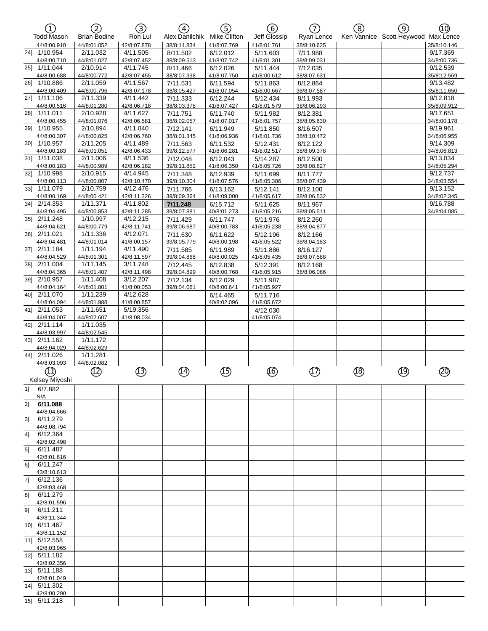| ①                             | 2                       | ③                       | 4                       | (5)                     | ි                       | ா                       | (8) | ල)                                  | ൹                       |
|-------------------------------|-------------------------|-------------------------|-------------------------|-------------------------|-------------------------|-------------------------|-----|-------------------------------------|-------------------------|
| <b>Todd Mason</b>             | <b>Brian Bodine</b>     | Ron Lui                 | Alex Danilchik          | Mike Clifton            | Jeff Glossip            | Ryan Lence              |     | Ken Vannice Scott Heywood Max Lence |                         |
| 44/8:00.910<br>24] 1/10.954   | 44/8:01.052<br>2/11.032 | 42/8:07.878<br>4/11.505 | 38/8:11.834<br>8/11.502 | 41/8:07.769<br>6/12.012 | 41/8:01.761             | 38/8:10.625<br>7/11.988 |     |                                     | 35/8:10.146<br>9/17.369 |
| 44/8:00.710                   | 44/8:01.027             | 42/8:07.452             | 38/8:09.513             | 41/8:07.742             | 5/11.603<br>41/8:01.301 | 38/8:09.031             |     |                                     | 34/8:00.736             |
| 25] 1/11.044                  | 2/10.914                | 4/11.745                | 8/11.466                | 6/12.026                | 5/11.444                | 7/12.035                |     |                                     | 9/12.539                |
| 44/8:00.688                   | 44/8:00.772             | 42/8:07.455             | 38/8:07.338             | 41/8:07.750             | 41/8:00.612             | 38/8:07.631             |     |                                     | 35/8:12.569             |
| 26] 1/10.886<br>44/8:00.409   | 2/11.059<br>44/8:00.796 | 4/11.567<br>42/8:07.178 | 7/11.531<br>38/8:05.427 | 6/11.594<br>41/8:07.054 | 5/11.863<br>41/8:00.667 | 8/12.864<br>38/8:07.587 |     |                                     | 9/13.482<br>35/8:11.650 |
| 27] 1/11.106                  | 2/11.339                | 4/11.442                | 7/11.333                | 6/12.244                | 5/12.434                | 8/11.993                |     |                                     | 9/12.818                |
| 44/8:00.516                   | 44/8:01.280             | 42/8:06.718             | 38/8:03.378             | 41/8:07.427             | 41/8:01.579             | 38/8:06.293             |     |                                     | 35/8:09.912             |
| 28] 1/11.011                  | 2/10.928                | 4/11.627<br>42/8:06.581 | 7/11.751                | 6/11.740                | 5/11.982                | 8/12.381                |     |                                     | 9/17.651                |
| 44/8:00.455<br>29] 1/10.955   | 44/8:01.076<br>2/10.894 | 4/11.840                | 38/8:02.057<br>7/12.141 | 41/8:07.017<br>6/11.949 | 41/8:01.757<br>5/11.850 | 38/8:05.630<br>8/16.507 |     |                                     | 34/8:00.178<br>9/19.961 |
| 44/8:00.307                   | 44/8:00.825             | 42/8:06.760             | 38/8:01.345             | 41/8:06.936             | 41/8:01.736             | 38/8:10.472             |     |                                     | 34/8:06.955             |
| 30] 1/10.957                  | 2/11.205                | 4/11.489                | 7/11.563                | 6/11.532                | 5/12.431                | 8/12.122                |     |                                     | 9/14.309                |
| 44/8:00.183                   | 44/8:01.051             | 42/8:06.433             | 39/8:12.577             | 41/8:06.281             | 41/8:02.517             | 38/8:09.378             |     |                                     | 34/8:06.813             |
| 31] 1/11.038<br>44/8:00.183   | 2/11.006<br>44/8:00.989 | 4/11.536<br>42/8:06.182 | 7/12.048<br>39/8:11.852 | 6/12.043<br>41/8:06.350 | 5/14.287<br>41/8:05.726 | 8/12.500<br>38/8:08.827 |     |                                     | 9/13.034<br>34/8:05.294 |
| 32] 1/10.998                  | 2/10.915                | 4/14.945                | 7/11.348                | 6/12.939                | 5/11.699                | 8/11.777                |     |                                     | 9/12.737                |
| 44/8:00.113                   | 44/8:00.807             | 42/8:10.470             | 39/8:10.304             | 41/8:07.576             | 41/8:05.386             | 38/8:07.439             |     |                                     | 34/8:03.554             |
| 33] 1/11.079                  | 2/10.759                | 4/12.476                | 7/11.766                | 6/13.162                | 5/12.141                | 8/12.100                |     |                                     | 9/13.152                |
| 44/8:00.169                   | 44/8:00.421             | 42/8:11.326             | 39/8:09.364             | 41/8:09.000             | 41/8:05.617             | 38/8:06.532             |     |                                     | 34/8:02.345             |
| 34] 2/14.353<br>44/8:04.495   | 1/11.371<br>44/8:00.853 | 4/11.802<br>42/8:11.285 | 7/11.248<br>39/8:07.881 | 6/15.712<br>40/8:01.273 | 5/11.625<br>41/8:05.216 | 8/11.967<br>38/8:05.511 |     |                                     | 9/16.788<br>34/8:04.085 |
| 35] 2/11.248                  | 1/10.997                | 4/12.215                | 7/11.429                | 6/11.747                | 5/11.976                | 8/12.260                |     |                                     |                         |
| 44/8:04.621                   | 44/8:00.779             | 42/8:11.741             | 39/8:06.687             | 40/8:00.783             | 41/8:05.238             | 38/8:04.877             |     |                                     |                         |
| 36] 2/11.021                  | 1/11.336                | 4/12.071                | 7/11.630                | 6/11.622                | 5/12.196                | 8/12.166                |     |                                     |                         |
| 44/8:04.481<br>371 2/11.184   | 44/8:01.014             | 41/8:00.157<br>4/11.490 | 39/8:05.779             | 40/8:00.198             | 41/8:05.522             | 38/8:04.183             |     |                                     |                         |
| 44/8:04.529                   | 1/11.194<br>44/8:01.301 | 42/8:11.597             | 7/11.585<br>39/8:04.868 | 6/11.989<br>40/8:00.025 | 5/11.886<br>41/8:05.435 | 8/16.127<br>38/8:07.588 |     |                                     |                         |
| 38] 2/11.004                  | 1/11.145                | 3/11.748                | 7/12.445                | 6/12.838                | 5/12.391                | 8/12.168                |     |                                     |                         |
| 44/8:04.365                   | 44/8:01.407             | 42/8:11.498             | 39/8:04.899             | 40/8:00.768             | 41/8:05.915             | 38/8:06.086             |     |                                     |                         |
| 39] 2/10.957                  | 1/11.408                | 3/12.207                | 7/12.134                | 6/12.029                | 5/11.987                |                         |     |                                     |                         |
| 44/8:04.164<br>40] 2/11.070   | 44/8:01.801<br>1/11.239 | 41/8:00.053<br>4/12.628 | 39/8:04.061             | 40/8:00.641<br>6/14.465 | 41/8:05.927<br>5/11.716 |                         |     |                                     |                         |
| 44/8:04.094                   | 44/8:01.988             | 41/8:00.857             |                         | 40/8:02.096             | 41/8:05.672             |                         |     |                                     |                         |
| 41] 2/11.053                  | 1/11.651                | 5/19.356                |                         |                         | 4/12.030                |                         |     |                                     |                         |
| 44/8:04.007                   | 44/8:02.607             | 41/8:08.034             |                         |                         | 41/8:05.074             |                         |     |                                     |                         |
| 42] 2/11.114<br>44/8:03.997   | 1/11.035<br>44/8:02.545 |                         |                         |                         |                         |                         |     |                                     |                         |
| 43] 2/11.162                  | 1/11.172                |                         |                         |                         |                         |                         |     |                                     |                         |
| 44/8:04.029                   | 44/8:02.629             |                         |                         |                         |                         |                         |     |                                     |                         |
| 44] 2/11.026                  | 1/11.281                |                         |                         |                         |                         |                         |     |                                     |                         |
| 44/8:03.093                   | 44/8:02.082             |                         |                         |                         |                         |                         |     |                                     |                         |
| (1)                           | ⑫                       | ⑬                       | ⑭                       |                         | ⑯                       | ⑰                       | ⑱   | ℗                                   | ⑳                       |
| Kelsey Miyoshi                |                         |                         |                         |                         |                         |                         |     |                                     |                         |
| 6/7.882<br>11<br>N/A          |                         |                         |                         |                         |                         |                         |     |                                     |                         |
| 6/11.088<br>2]                |                         |                         |                         |                         |                         |                         |     |                                     |                         |
| 44/8:04.666                   |                         |                         |                         |                         |                         |                         |     |                                     |                         |
| 6/11.279<br>31                |                         |                         |                         |                         |                         |                         |     |                                     |                         |
| 44/8:08.794<br>6/12.364<br>41 |                         |                         |                         |                         |                         |                         |     |                                     |                         |
| 42/8:02.498                   |                         |                         |                         |                         |                         |                         |     |                                     |                         |
| 6/11.487<br>5]                |                         |                         |                         |                         |                         |                         |     |                                     |                         |
| 42/8:01.616                   |                         |                         |                         |                         |                         |                         |     |                                     |                         |
| 6/11.247<br>61                |                         |                         |                         |                         |                         |                         |     |                                     |                         |
| 43/8:10.613<br>6/12.136<br>71 |                         |                         |                         |                         |                         |                         |     |                                     |                         |
| 42/8:03.468                   |                         |                         |                         |                         |                         |                         |     |                                     |                         |
| 6/11.279<br>81                |                         |                         |                         |                         |                         |                         |     |                                     |                         |
| 42/8:01.596                   |                         |                         |                         |                         |                         |                         |     |                                     |                         |
| 6/11.211<br>91<br>43/8:11.344 |                         |                         |                         |                         |                         |                         |     |                                     |                         |
| 10] 6/11.467                  |                         |                         |                         |                         |                         |                         |     |                                     |                         |
| 43/8:11.152                   |                         |                         |                         |                         |                         |                         |     |                                     |                         |
| 11] 5/12.558                  |                         |                         |                         |                         |                         |                         |     |                                     |                         |
| 42/8:03.965<br>12] 5/11.182   |                         |                         |                         |                         |                         |                         |     |                                     |                         |
| 42/8:02.356                   |                         |                         |                         |                         |                         |                         |     |                                     |                         |
| 13] 5/11.188                  |                         |                         |                         |                         |                         |                         |     |                                     |                         |
| 42/8:01.049                   |                         |                         |                         |                         |                         |                         |     |                                     |                         |
| 14] 5/11.302<br>42/8:00.290   |                         |                         |                         |                         |                         |                         |     |                                     |                         |
| 15] 5/11.218                  |                         |                         |                         |                         |                         |                         |     |                                     |                         |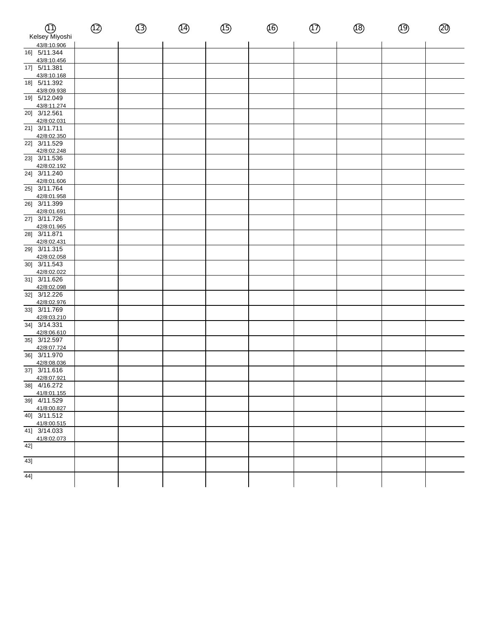| Պ)<br>Kelsey Miyoshi        | $^{\textcircled{\tiny 2}}$ | $\circled{3}$ | $\circled{4}$ | $\circled{\scriptstyle 5}$ | $\circledS$ | $\circled{1}$ | $\circledR$ | $\circled{9}$ | ⑳ |
|-----------------------------|----------------------------|---------------|---------------|----------------------------|-------------|---------------|-------------|---------------|---|
| 43/8:10.906                 |                            |               |               |                            |             |               |             |               |   |
| 16] 5/11.344                |                            |               |               |                            |             |               |             |               |   |
| 43/8:10.456                 |                            |               |               |                            |             |               |             |               |   |
| 17] 5/11.381                |                            |               |               |                            |             |               |             |               |   |
| 43/8:10.168<br>18] 5/11.392 |                            |               |               |                            |             |               |             |               |   |
| 43/8:09.938                 |                            |               |               |                            |             |               |             |               |   |
| 19] 5/12.049                |                            |               |               |                            |             |               |             |               |   |
| 43/8:11.274                 |                            |               |               |                            |             |               |             |               |   |
| 20] 3/12.561                |                            |               |               |                            |             |               |             |               |   |
| 42/8:02.031                 |                            |               |               |                            |             |               |             |               |   |
| 21] 3/11.711                |                            |               |               |                            |             |               |             |               |   |
| 42/8:02.350                 |                            |               |               |                            |             |               |             |               |   |
| 22] 3/11.529<br>42/8:02.248 |                            |               |               |                            |             |               |             |               |   |
| 23] 3/11.536                |                            |               |               |                            |             |               |             |               |   |
| 42/8:02.192                 |                            |               |               |                            |             |               |             |               |   |
| 24] 3/11.240                |                            |               |               |                            |             |               |             |               |   |
| 42/8:01.606                 |                            |               |               |                            |             |               |             |               |   |
| 25] 3/11.764                |                            |               |               |                            |             |               |             |               |   |
| 42/8:01.958                 |                            |               |               |                            |             |               |             |               |   |
| 26] 3/11.399                |                            |               |               |                            |             |               |             |               |   |
| 42/8:01.691<br>27] 3/11.726 |                            |               |               |                            |             |               |             |               |   |
| 42/8:01.965                 |                            |               |               |                            |             |               |             |               |   |
| 28] 3/11.871                |                            |               |               |                            |             |               |             |               |   |
| 42/8:02.431                 |                            |               |               |                            |             |               |             |               |   |
| $\overline{29}$ 3/11.315    |                            |               |               |                            |             |               |             |               |   |
| 42/8:02.058                 |                            |               |               |                            |             |               |             |               |   |
| 30] 3/11.543                |                            |               |               |                            |             |               |             |               |   |
| 42/8:02.022<br>31] 3/11.626 |                            |               |               |                            |             |               |             |               |   |
| 42/8:02.098                 |                            |               |               |                            |             |               |             |               |   |
| 32] 3/12.226                |                            |               |               |                            |             |               |             |               |   |
| 42/8:02.976                 |                            |               |               |                            |             |               |             |               |   |
| 33] 3/11.769                |                            |               |               |                            |             |               |             |               |   |
| 42/8:03.210                 |                            |               |               |                            |             |               |             |               |   |
| 34] 3/14.331                |                            |               |               |                            |             |               |             |               |   |
| 42/8:06.610                 |                            |               |               |                            |             |               |             |               |   |
| 35] 3/12.597                |                            |               |               |                            |             |               |             |               |   |
| 42/8:07.724<br>36] 3/11.970 |                            |               |               |                            |             |               |             |               |   |
| 42/8:08.036                 |                            |               |               |                            |             |               |             |               |   |
| 37] 3/11.616                |                            |               |               |                            |             |               |             |               |   |
| 42/8:07.921                 |                            |               |               |                            |             |               |             |               |   |
| 38] 4/16.272                |                            |               |               |                            |             |               |             |               |   |
| 41/8:01.155                 |                            |               |               |                            |             |               |             |               |   |
| 39] 4/11.529                |                            |               |               |                            |             |               |             |               |   |
| 41/8:00.827<br>40] 3/11.512 |                            |               |               |                            |             |               |             |               |   |
| 41/8:00.515                 |                            |               |               |                            |             |               |             |               |   |
| 41] 3/14.033                |                            |               |               |                            |             |               |             |               |   |
| 41/8:02.073                 |                            |               |               |                            |             |               |             |               |   |
| 42]                         |                            |               |               |                            |             |               |             |               |   |
|                             |                            |               |               |                            |             |               |             |               |   |
| 43]                         |                            |               |               |                            |             |               |             |               |   |
| 44]                         |                            |               |               |                            |             |               |             |               |   |
|                             |                            |               |               |                            |             |               |             |               |   |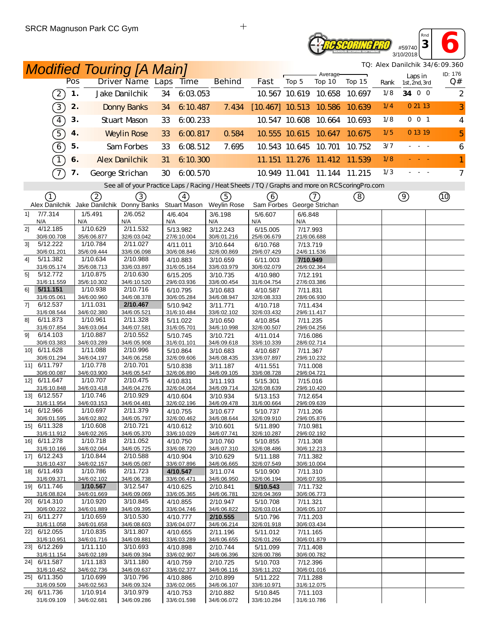## **Reseoring Pro** #59740

**<sup>3</sup> 6** 3/10/2018 *TQ: Alex Danilchik 34/6:09.360*

*Rnd*

|                | <b>Modified Touring [A Main]</b>                       |     |                         |                         |     |                         |                                                                                                  |                            | TQ: Alex Daniichik 34/6:09.360<br>Average- |                      |        |      |                          |                |
|----------------|--------------------------------------------------------|-----|-------------------------|-------------------------|-----|-------------------------|--------------------------------------------------------------------------------------------------|----------------------------|--------------------------------------------|----------------------|--------|------|--------------------------|----------------|
|                |                                                        | Pos |                         | Driver Name Laps        |     | <b>Time</b>             | <b>Behind</b>                                                                                    | Fast                       | Top 5                                      | Top 10               | Top 15 | Rank | Laps in<br>1st, 2nd, 3rd | ID: 176<br>Q#  |
|                | $\left(2\right)$                                       | 1.  |                         | Jake Danilchik          | 34  | 6:03.053                |                                                                                                  |                            |                                            | 10.567 10.619 10.658 | 10.697 | 1/8  | 34 0 0                   | $\overline{2}$ |
|                | 3)                                                     | 2.  |                         | <b>Donny Banks</b>      | 34  | 6:10.487                | 7.434                                                                                            | $[10.467]$ 10.513 10.586   |                                            |                      | 10.639 | 1/4  | 0 21 13                  | 3              |
|                | $\sqrt{4}$                                             | 3.  |                         | Stuart Mason            | 33  | 6:00.233                |                                                                                                  |                            |                                            | 10.547 10.608 10.664 | 10.693 | 1/8  | $0$ 0 1                  | $\overline{4}$ |
|                | $\boxed{5}$                                            | 4.  |                         | <b>Weylin Rose</b>      | 33  | 6:00.817                | 0.584                                                                                            |                            |                                            | 10.555 10.615 10.647 | 10.675 | 1/5  | 0 13 19                  | 5              |
|                | $\left[6\right]$                                       | 5.  |                         | Sam Forbes              | 33  | 6.08.512                | 7.695                                                                                            |                            | 10.543 10.645 10.701                       |                      | 10.752 | 3/7  | $\sim$ $-$               | 6              |
|                | $\bigcap$                                              | 6.  |                         | <b>Alex Danilchik</b>   | 31  | 6:10.300                |                                                                                                  |                            |                                            | 11.151 11.276 11.412 | 11.539 | 1/8  |                          | 1              |
|                | $\mathcal{T}$                                          | 7.  |                         | George Strichan         | 30  | 6:00.570                |                                                                                                  |                            | 10.949 11.041                              | 11.144               | 11.215 | 1/3  |                          | $\overline{7}$ |
|                |                                                        |     |                         |                         |     |                         | See all of your Practice Laps / Racing / Heat Sheets / TQ / Graphs and more on RCScoring Pro.com |                            |                                            |                      |        |      |                          |                |
|                | ①                                                      |     | 2                       | (3)                     |     | (4)                     | 5)                                                                                               | (6)                        |                                            | (7)                  |        |      | $\circledcirc$           | $^{\circledR}$ |
|                | Alex Danilchik Jake Danilchik Donny Banks Stuart Mason |     |                         |                         |     |                         | Weylin Rose                                                                                      | Sam Forbes George Strichan |                                            |                      | ②      |      |                          |                |
| 1]             | 7/7.314                                                |     | 1/5.491                 | 2/6.052                 |     | 4/6.404                 | 3/6.198                                                                                          | 5/6.607                    | 6/6.848                                    |                      |        |      |                          |                |
|                | N/A                                                    | N/A |                         | N/A                     | N/A |                         | N/A                                                                                              | N/A                        | N/A                                        |                      |        |      |                          |                |
| 21             | 4/12.185                                               |     | 1/10.629                | 2/11.532                |     | 5/13.982                | 3/12.243                                                                                         | 6/15.005                   | 7/17.993                                   |                      |        |      |                          |                |
| 31             | 30/6:00.708<br>5/12.222                                |     | 35/6:06.877<br>1/10.784 | 32/6:03.042<br>2/11.027 |     | 27/6:10.004<br>4/11.011 | 30/6:01.216<br>3/10.644                                                                          | 25/6:06.679<br>6/10.768    | 21/6:06.688<br>7/13.719                    |                      |        |      |                          |                |
|                | 30/6:01.201                                            |     | 35/6:09.444             | 33/6:06.098             |     | 30/6:08.846             | 32/6:00.869                                                                                      | 29/6:07.429                |                                            | 24/6:11.536          |        |      |                          |                |
| 41             | 5/11.382                                               |     | 1/10.634                | 2/10.988                |     | 4/10.883                | 3/10.659                                                                                         | 6/11.003                   | 7/10.949                                   |                      |        |      |                          |                |
|                | 31/6:05.174                                            |     | 35/6:08.713             | 33/6:03.897             |     | 31/6:05.164             | 33/6:03.979                                                                                      | 30/6:02.079                | 26/6:02.364                                |                      |        |      |                          |                |
| 5 <sup>1</sup> | 5/12.772<br>31/6:11.559                                |     | 1/10.875                | 2/10.630<br>34/6:10.520 |     | 6/15.205                | 3/10.735                                                                                         | 4/10.980                   | 7/12.191                                   |                      |        |      |                          |                |
| 61             | 5/11.151                                               |     | 35/6:10.302<br>1/10.938 | 2/10.716                |     | 29/6:03.936<br>6/10.795 | 33/6:00.454<br>3/10.683                                                                          | 31/6:04.754<br>4/10.587    | 7/11.831                                   | 27/6:03.386          |        |      |                          |                |
|                | 31/6:05.061                                            |     | 34/6:00.960             | 34/6:08.378             |     | 30/6:05.284             | 34/6:08.947                                                                                      | 32/6:08.333                |                                            | 28/6:06.930          |        |      |                          |                |
| 7]             | 6/12.537                                               |     | 1/11.031                | 2/10.467                |     | 5/10.942                | 3/11.771                                                                                         | 4/10.718                   | 7/11.434                                   |                      |        |      |                          |                |
|                | 31/6:08.544                                            |     | 34/6:02.380             | 34/6:05.521             |     | 31/6:10.484             | 33/6:02.102                                                                                      | 32/6:03.432                |                                            | 29/6:11.417          |        |      |                          |                |
| 81             | 6/11.873                                               |     | 1/10.961                | 2/11.328                |     | 5/11.022                | 3/10.650                                                                                         | 4/10.854                   | 7/11.235                                   |                      |        |      |                          |                |
| 91             | 31/6:07.854<br>6/14.103                                |     | 34/6:03.064<br>1/10.887 | 34/6:07.581<br>2/10.552 |     | 31/6:05.701<br>5/10.745 | 34/6:10.998<br>3/10.721                                                                          | 32/6:00.507<br>4/11.014    | 7/16.086                                   | 29/6:04.256          |        |      |                          |                |
|                | 30/6:03.383                                            |     | 34/6:03.289             | 34/6:05.908             |     | 31/6:01.101             | 34/6:09.618                                                                                      | 33/6:10.339                |                                            | 28/6:02.714          |        |      |                          |                |
|                | 10] 6/11.628                                           |     | 1/11.088                | 2/10.996                |     | 5/10.864                | 3/10.683                                                                                         | 4/10.687                   | 7/11.367                                   |                      |        |      |                          |                |
|                | 30/6:01.294                                            |     | 34/6:04.197             | 34/6:06.258             |     | 32/6:09.606             | 34/6:08.435                                                                                      | 33/6:07.897                |                                            | 29/6:10.232          |        |      |                          |                |
|                | 11] 6/11.797                                           |     | 1/10.778                | 2/10.701                |     | 5/10.838                | 3/11.187                                                                                         | 4/11.551                   | 7/11.008                                   |                      |        |      |                          |                |
|                | 30/6:00.087<br>12] 6/11.647                            |     | 34/6:03.900<br>1/10.707 | 34/6:05.547<br>2/10.475 |     | 32/6:06.890<br>4/10.831 | 34/6:09.105<br>3/11.193                                                                          | 33/6:08.728<br>5/15.301    | 29/6:04.721<br>7/15.016                    |                      |        |      |                          |                |
|                | 31/6:10.848                                            |     | 34/6:03.418             | 34/6:04.276             |     | 32/6:04.064             | 34/6:09.714                                                                                      | 32/6:08.639                |                                            | 29/6:10.420          |        |      |                          |                |
|                | 13] 6/12.557                                           |     | 1/10.746                | 2/10.929                |     | 4/10.604                | 3/10.934                                                                                         | 5/13.153                   | 7/12.654                                   |                      |        |      |                          |                |
|                | 31/6:11.954                                            |     | 34/6:03.153             | 34/6:04.481             |     | 32/6:02.196             | 34/6:09.478                                                                                      | 31/6:00.664                |                                            | 29/6:09.639          |        |      |                          |                |
|                | 14] 6/12.966                                           |     | 1/10.697                | 2/11.379                |     | 4/10.755                | 3/10.677                                                                                         | 5/10.737                   | 7/11.206                                   |                      |        |      |                          |                |
|                | 30/6:01.595<br>15] 6/11.328                            |     | 34/6:02.802<br>1/10.608 | 34/6:05.797<br>2/10.721 |     | 32/6:00.462<br>4/10.612 | 34/6:08.644<br>3/10.601                                                                          | 32/6:09.910<br>5/11.890    | 29/6:05.876<br>7/10.981                    |                      |        |      |                          |                |
|                | 31/6:11.912                                            |     | 34/6:02.265             | 34/6:05.370             |     | 33/6:10.029             | 34/6:07.741                                                                                      | 32/6:10.287                |                                            | 29/6:02.192          |        |      |                          |                |
|                | 16] 6/11.278                                           |     | 1/10.718                | 2/11.052                |     | 4/10.750                | 3/10.760                                                                                         | 5/10.855                   | 7/11.308                                   |                      |        |      |                          |                |
|                | 31/6:10.166                                            |     | 34/6:02.064             | 34/6:05.725             |     | 33/6:08.720             | 34/6:07.310                                                                                      | 32/6:08.486                |                                            | 30/6:12.213          |        |      |                          |                |
|                | 17] 6/12.243                                           |     | 1/10.844                | 2/10.588                |     | 4/10.904                | 3/10.629                                                                                         | 5/11.188                   | 7/11.382                                   |                      |        |      |                          |                |
|                | 31/6:10.437<br>18] 6/11.493                            |     | 34/6:02.157<br>1/10.786 | 34/6:05.087<br>2/11.723 |     | 33/6:07.896             | 34/6:06.665<br>3/11.074                                                                          | 32/6:07.549                |                                            | 30/6:10.004          |        |      |                          |                |
|                | 31/6:09.371                                            |     | 34/6:02.102             | 34/6:06.738             |     | 4/10.547<br>33/6:06.471 | 34/6:06.950                                                                                      | 5/10.900<br>32/6:06.194    | 7/11.310                                   | 30/6:07.935          |        |      |                          |                |
|                | 19] 6/11.746                                           |     | 1/10.567                | 3/12.547                |     | 4/10.625                | 2/10.841                                                                                         | 5/10.543                   | 7/11.732                                   |                      |        |      |                          |                |
|                | 31/6:08.824                                            |     | 34/6:01.669             | 34/6:09.069             |     | 33/6:05.365             | 34/6:06.781                                                                                      | 32/6:04.369                |                                            | 30/6:06.773          |        |      |                          |                |
|                | 20] 6/14.310                                           |     | 1/10.920                | 3/10.845                |     | 4/10.855                | 2/10.947                                                                                         | 5/10.708                   | 7/11.321                                   |                      |        |      |                          |                |
|                | 30/6:00.222<br>21] 6/11.277                            |     | 34/6:01.889<br>1/10.659 | 34/6:09.395<br>3/10.530 |     | 33/6:04.746<br>4/10.777 | 34/6:06.822<br>2/10.555                                                                          | 32/6:03.014<br>5/10.796    | 7/11.203                                   | 30/6:05.107          |        |      |                          |                |
|                | 31/6:11.058                                            |     | 34/6:01.658             | 34/6:08.603             |     | 33/6:04.077             | 34/6:06.214                                                                                      | 32/6:01.918                |                                            | 30/6:03.434          |        |      |                          |                |
|                | 22] 6/12.055                                           |     | 1/10.835                | 3/11.807                |     | 4/10.655                | 2/11.196                                                                                         | 5/11.012                   | 7/11.165                                   |                      |        |      |                          |                |
|                | 31/6:10.951                                            |     | 34/6:01.716             | 34/6:09.881             |     | 33/6:03.289             | 34/6:06.655                                                                                      | 32/6:01.266                |                                            | 30/6:01.879          |        |      |                          |                |
|                | 23] 6/12.269                                           |     | 1/11.110                | 3/10.693                |     | 4/10.898                | 2/10.744                                                                                         | 5/11.099                   | 7/11.408                                   |                      |        |      |                          |                |
|                | 31/6:11.154<br>24] 6/11.587                            |     | 34/6:02.189<br>1/11.183 | 34/6:09.394<br>3/11.180 |     | 33/6:02.907<br>4/10.759 | 34/6:06.396<br>2/10.725                                                                          | 32/6:00.786<br>5/10.703    | 7/12.396                                   | 30/6:00.782          |        |      |                          |                |
|                | 31/6:10.452                                            |     | 34/6:02.736             | 34/6:09.637             |     | 33/6:02.377             | 34/6:06.116                                                                                      | 33/6:11.202                |                                            | 30/6:01.016          |        |      |                          |                |
|                | 25] 6/11.350                                           |     | 1/10.699                | 3/10.796                |     | 4/10.886                | 2/10.899                                                                                         | 5/11.222                   | 7/11.288                                   |                      |        |      |                          |                |
|                | 31/6:09.509                                            |     | 34/6:02.563             | 34/6:09.324             |     | 33/6:02.065             | 34/6:06.107                                                                                      | 33/6:10.971                |                                            | 31/6:12.075          |        |      |                          |                |
|                | 26] 6/11.736                                           |     | 1/10.914                | 3/10.979                |     | 4/10.753                | 2/10.882                                                                                         | 5/10.845                   | 7/11.103                                   |                      |        |      |                          |                |
|                | 31/6:09.109                                            |     | 34/6:02.681             | 34/6:09.286             |     | 33/6:01.598             | 34/6:06.072                                                                                      | 33/6:10.284                | 31/6:10.786                                |                      |        |      |                          |                |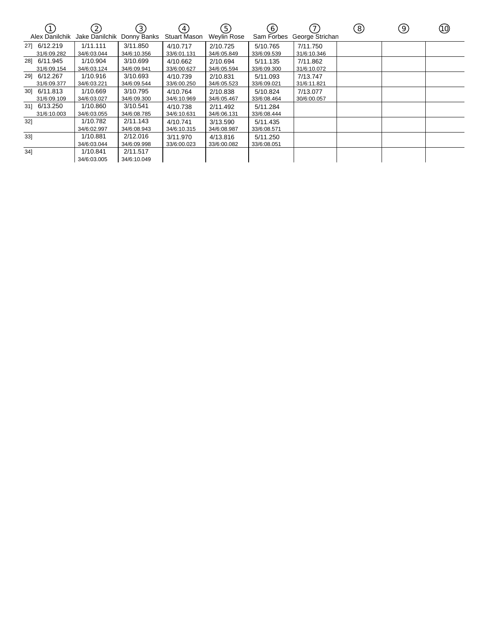|     | Alex Danilchik              | $\mathcal{Z}$<br>Jake Danilchik | $\left(3\right)$<br>Donny Banks | $\overline{A}$<br>Stuart Mason | 5<br><b>Weylin Rose</b> | 6)<br>Sam Forbes        | $\overline{7}$<br>George Strichan | (8) | 9 | (10) |
|-----|-----------------------------|---------------------------------|---------------------------------|--------------------------------|-------------------------|-------------------------|-----------------------------------|-----|---|------|
|     | 27] 6/12.219<br>31/6:09.282 | 1/11.111<br>34/6:03.044         | 3/11.850<br>34/6:10.356         | 4/10.717<br>33/6:01.131        | 2/10.725<br>34/6:05.849 | 5/10.765<br>33/6:09.539 | 7/11.750<br>31/6:10.346           |     |   |      |
|     | 28] 6/11.945<br>31/6:09.154 | 1/10.904<br>34/6:03.124         | 3/10.699<br>34/6:09.941         | 4/10.662<br>33/6:00.627        | 2/10.694<br>34/6:05.594 | 5/11.135<br>33/6:09.300 | 7/11.862<br>31/6:10.072           |     |   |      |
| 291 | 6/12.267<br>31/6:09.377     | 1/10.916<br>34/6:03.221         | 3/10.693<br>34/6:09.544         | 4/10.739<br>33/6:00.250        | 2/10.831<br>34/6:05.523 | 5/11.093<br>33/6:09.021 | 7/13.747<br>31/6:11.821           |     |   |      |
|     | 30] 6/11.813<br>31/6:09.109 | 1/10.669<br>34/6:03.027         | 3/10.795<br>34/6:09.300         | 4/10.764<br>34/6:10.969        | 2/10.838<br>34/6:05.467 | 5/10.824<br>33/6:08.464 | 7/13.077<br>30/6:00.057           |     |   |      |
|     | 31] 6/13.250<br>31/6:10.003 | 1/10.860<br>34/6:03.055         | 3/10.541<br>34/6:08.785         | 4/10.738<br>34/6:10.631        | 2/11.492<br>34/6:06.131 | 5/11.284<br>33/6:08.444 |                                   |     |   |      |
| 32] |                             | 1/10.782<br>34/6:02.997         | 2/11.143<br>34/6:08.943         | 4/10.741<br>34/6:10.315        | 3/13.590<br>34/6:08.987 | 5/11.435<br>33/6:08.571 |                                   |     |   |      |
| 33] |                             | 1/10.881<br>34/6:03.044         | 2/12.016<br>34/6:09.998         | 3/11.970<br>33/6:00.023        | 4/13.816<br>33/6:00.082 | 5/11.250<br>33/6:08.051 |                                   |     |   |      |
| 34] |                             | 1/10.841<br>34/6:03.005         | 2/11.517<br>34/6:10.049         |                                |                         |                         |                                   |     |   |      |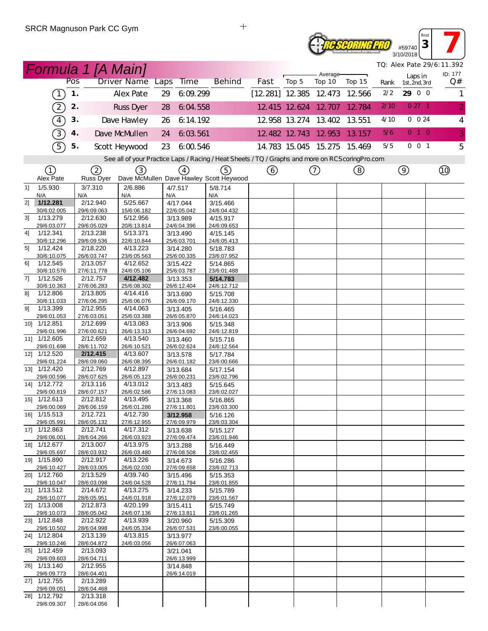# **Reseoring Pro** #59740

**3 7** 3/10/2018 *TQ: Alex Pate 29/6:11.392*

*Rnd*

|    |                                                |               |                         | <b>Formula 1 [A Main]</b> |      |                         |                                                                                                   |                          |                      |                      |                             |      |                          | TQ: Alex Pate 29/6:11.392 |
|----|------------------------------------------------|---------------|-------------------------|---------------------------|------|-------------------------|---------------------------------------------------------------------------------------------------|--------------------------|----------------------|----------------------|-----------------------------|------|--------------------------|---------------------------|
|    |                                                | Pos           |                         | <b>Driver Name</b>        | Laps | <b>Time</b>             | <b>Behind</b>                                                                                     | Fast                     | Top 5                | Average-<br>Top 10   | Top 15                      | Rank | Laps in<br>1st, 2nd, 3rd | ID: 177<br>Q#             |
|    | $\left( \begin{matrix} 1 \end{matrix} \right)$ | $\mathbf 1$ . |                         | Alex Pate                 | 29   | 6:09.299                |                                                                                                   | $[12.281]$ 12.385 12.473 |                      |                      | 12.566                      | 2/2  | 29 0 0                   | 1                         |
|    | 2                                              | 2.            |                         | <b>Russ Dyer</b>          | 28   | 6:04.558                |                                                                                                   |                          | 12 415 12 624 12 707 |                      | 12.784                      | 2/10 | 027 <sub>1</sub>         | $\overline{2}$            |
|    | $\boxed{4}$                                    | 3.            |                         | Dave Hawley               | 26   | 6:14.192                |                                                                                                   |                          |                      | 12.958 13.274 13.402 | 13.551                      | 4/10 | 0 0 24                   | 4                         |
|    | 3)                                             | 4.            |                         | Dave McMullen             | 24   | 6:03.561                |                                                                                                   |                          |                      | 12.482 12.743 12.953 | 13.157                      | 5/6  | 010                      | 3                         |
|    | $\widehat{5}$                                  | 5.            |                         | Scott Heywood             | 23   | 6.00.546                |                                                                                                   |                          |                      |                      | 14.783 15.045 15.275 15.469 | 5/5  | 001                      | 5                         |
|    |                                                |               |                         |                           |      |                         | See all of your Practice Laps / Racing / Heat Sheets / TQ / Graphs and more on RCS coring Pro.com |                          |                      |                      |                             |      |                          |                           |
|    | ①                                              |               | 2                       | (3)                       |      | $\left(4\right)$        | (5)                                                                                               | ⊙                        |                      | ➀                    | ③                           |      | $\circledcirc$           |                           |
|    | Alex Pate                                      |               | Russ Dyer               |                           |      |                         | Dave McMullen Dave Hawley Scott Heywood                                                           |                          |                      |                      |                             |      |                          |                           |
| 11 | 1/5.930<br>N/A                                 |               | 3/7.310<br>N/A          | 2/6.886<br>N/A            | N/A  | 4/7.517                 | 5/8.714<br>N/A                                                                                    |                          |                      |                      |                             |      |                          |                           |
| 2] | 1/12.281                                       |               | 2/12.940                | 5/25.667                  |      | 4/17.044                | 3/15.466                                                                                          |                          |                      |                      |                             |      |                          |                           |
| 31 | 30/6:02.005<br>1/13.279                        |               | 29/6:09.063<br>2/12.630 | 15/6:06.182<br>5/12.956   |      | 22/6:05.042<br>3/13.989 | 24/6:04.432<br>4/15.917                                                                           |                          |                      |                      |                             |      |                          |                           |
|    | 29/6:03.077                                    |               | 29/6:05.029             | 20/6:13.814               |      | 24/6:04.396             | 24/6:09.653                                                                                       |                          |                      |                      |                             |      |                          |                           |
| 4] | 1/12.341                                       |               | 2/13.238                | 5/13.371                  |      | 3/13.490                | 4/15.145                                                                                          |                          |                      |                      |                             |      |                          |                           |
|    | 30/6:12.296                                    |               | 29/6:09.536             | 22/6:10.844               |      | 25/6:03.701             | 24/6:05.413                                                                                       |                          |                      |                      |                             |      |                          |                           |
| 51 | 1/12.424<br>30/6:10.075                        |               | 2/18.220<br>26/6:03.747 | 4/13.223<br>23/6:05.563   |      | 3/14.280<br>25/6:00.335 | 5/18.783<br>23/6:07.952                                                                           |                          |                      |                      |                             |      |                          |                           |
| 61 | 1/12.545                                       |               | 2/13.057                | 4/12.652                  |      | 3/15.422                | 5/14.865                                                                                          |                          |                      |                      |                             |      |                          |                           |
|    | 30/6:10.576                                    |               | 27/6:11.778             | 24/6:05.106               |      | 25/6:03.787             | 23/6:01.488                                                                                       |                          |                      |                      |                             |      |                          |                           |
| 7] | 1/12.526                                       |               | 2/12.757                | 4/12.482                  |      | 3/13.353                | 5/14.783                                                                                          |                          |                      |                      |                             |      |                          |                           |
|    | 30/6:10.363                                    |               | 27/6:06.283             | 25/6:08.302               |      | 26/6:12.404             | 24/6:12.712                                                                                       |                          |                      |                      |                             |      |                          |                           |
| 81 | 1/12.806<br>30/6:11.033                        |               | 2/13.805<br>27/6:06.295 | 4/14.416<br>25/6:06.076   |      | 3/13.690<br>26/6:09.170 | 5/15.708<br>24/6:12.330                                                                           |                          |                      |                      |                             |      |                          |                           |
| 91 | 1/13.399                                       |               | 2/12.955                | 4/14.063                  |      | 3/13.405                | 5/16.465                                                                                          |                          |                      |                      |                             |      |                          |                           |
|    | 29/6:01.053                                    |               | 27/6:03.051             | 25/6:03.388               |      | 26/6:05.870             | 24/6:14.023                                                                                       |                          |                      |                      |                             |      |                          |                           |
|    | 10] 1/12.851                                   |               | 2/12.699                | 4/13.083                  |      | 3/13.906                | 5/15.348                                                                                          |                          |                      |                      |                             |      |                          |                           |
|    | 29/6:01.996                                    |               | 27/6:00.621             | 26/6:13.313               |      | 26/6:04.692             | 24/6:12.819                                                                                       |                          |                      |                      |                             |      |                          |                           |
|    | 11] 1/12.605<br>29/6:01.698                    |               | 2/12.659<br>28/6:11.702 | 4/13.540<br>26/6:10.521   |      | 3/13.460<br>26/6:02.624 | 5/15.716<br>24/6:12.564                                                                           |                          |                      |                      |                             |      |                          |                           |
|    | 12] 1/12.520                                   |               | 2/12.415                | 4/13.607                  |      | 3/13.578                | 5/17.784                                                                                          |                          |                      |                      |                             |      |                          |                           |
|    | 29/6:01.224                                    |               | 28/6:09.060             | 26/6:08.395               |      | 26/6:01.182             | 23/6:00.666                                                                                       |                          |                      |                      |                             |      |                          |                           |
|    | 13] 1/12.420                                   |               | 2/12.769                | 4/12.897                  |      | 3/13.684                | 5/17.154                                                                                          |                          |                      |                      |                             |      |                          |                           |
|    | 29/6:00.596                                    |               | 28/6:07.625             | 26/6:05.123               |      | 26/6:00.231             | 23/6:02.796                                                                                       |                          |                      |                      |                             |      |                          |                           |
|    | 14] 1/12.772<br>29/6:00.819                    |               | 2/13.116<br>28/6:07.157 | 4/13.012<br>26/6:02.586   |      | 3/13.483<br>27/6:13.083 | 5/15.645<br>23/6:02.027                                                                           |                          |                      |                      |                             |      |                          |                           |
|    | 15] 1/12.613                                   |               | 2/12.812                | 4/13.495                  |      | 3/13.368                | 5/16.865                                                                                          |                          |                      |                      |                             |      |                          |                           |
|    | 29/6:00.069                                    |               | 28/6:06.159             | 26/6:01.286               |      | 27/6:11.801             | 23/6:03.300                                                                                       |                          |                      |                      |                             |      |                          |                           |
|    | 16] 1/15.513                                   |               | 2/12.721                | 4/12.730                  |      | 3/12.958                | 5/16.126                                                                                          |                          |                      |                      |                             |      |                          |                           |
|    | 29/6:05.991                                    |               | 28/6:05.132             | 27/6:12.955               |      | 27/6:09.979             | 23/6:03.304                                                                                       |                          |                      |                      |                             |      |                          |                           |
|    | 17] 1/12.863<br>29/6:06.001                    |               | 2/12.741<br>28/6:04.266 | 4/17.312<br>26/6:03.923   |      | 3/13.638<br>27/6:09.474 | 5/15.127<br>23/6:01.946                                                                           |                          |                      |                      |                             |      |                          |                           |
|    | 18] 1/12.677                                   |               | 2/13.007                | 4/13.975                  |      | 3/13.288                | 5/16.449                                                                                          |                          |                      |                      |                             |      |                          |                           |
|    | 29/6:05.697                                    |               | 28/6:03.932             | 26/6:03.480               |      | 27/6:08.508             | 23/6:02.455                                                                                       |                          |                      |                      |                             |      |                          |                           |
|    | 19] 1/15.890                                   |               | 2/12.917                | 4/13.226                  |      | 3/14.673                | 5/16.286                                                                                          |                          |                      |                      |                             |      |                          |                           |
|    | 29/6:10.427<br>20] 1/12.760                    |               | 28/6:03.005<br>2/13.529 | 26/6:02.030<br>4/39.740   |      | 27/6:09.658             | 23/6:02.713                                                                                       |                          |                      |                      |                             |      |                          |                           |
|    | 29/6:10.047                                    |               | 28/6:03.098             | 24/6:04.528               |      | 3/15.496<br>27/6:11.794 | 5/15.353<br>23/6:01.855                                                                           |                          |                      |                      |                             |      |                          |                           |
|    | 21] 1/13.512                                   |               | 2/14.672                | 4/13.275                  |      | 3/14.233                | 5/15.789                                                                                          |                          |                      |                      |                             |      |                          |                           |
|    | 29/6:10.077                                    |               | 28/6:05.951             | 24/6:01.918               |      | 27/6:12.079             | 23/6:01.567                                                                                       |                          |                      |                      |                             |      |                          |                           |
|    | 22] 1/13.008                                   |               | 2/12.873                | 4/20.199                  |      | 3/15.411                | 5/15.749                                                                                          |                          |                      |                      |                             |      |                          |                           |
|    | 29/6:10.073<br>23] 1/12.848                    |               | 28/6:05.042<br>2/12.922 | 24/6:07.136<br>4/13.939   |      | 27/6:13.811<br>3/20.960 | 23/6:01.265<br>5/15.309                                                                           |                          |                      |                      |                             |      |                          |                           |
|    | 29/6:10.502                                    |               | 28/6:04.998             | 24/6:05.334               |      | 26/6:07.531             | 23/6:00.055                                                                                       |                          |                      |                      |                             |      |                          |                           |
|    | 24] 1/12.804                                   |               | 2/13.139                | 4/13.815                  |      | 3/13.977                |                                                                                                   |                          |                      |                      |                             |      |                          |                           |
|    | 29/6:10.246                                    |               | 28/6:04.872             | 24/6:03.056               |      | 26/6:07.063             |                                                                                                   |                          |                      |                      |                             |      |                          |                           |
|    | 25] 1/12.459                                   |               | 2/13.093                |                           |      | 3/21.041                |                                                                                                   |                          |                      |                      |                             |      |                          |                           |
|    | 29/6:09.603<br>26] 1/13.140                    |               | 28/6:04.711<br>2/12.955 |                           |      | 26/6:13.999<br>3/14.848 |                                                                                                   |                          |                      |                      |                             |      |                          |                           |
|    | 29/6:09.773                                    |               | 28/6:04.401             |                           |      | 26/6:14.019             |                                                                                                   |                          |                      |                      |                             |      |                          |                           |
|    | 27] 1/12.755                                   |               | 2/13.289                |                           |      |                         |                                                                                                   |                          |                      |                      |                             |      |                          |                           |
|    | 29/6:09.051                                    |               | 28/6:04.468             |                           |      |                         |                                                                                                   |                          |                      |                      |                             |      |                          |                           |
|    | 28] 1/12.792                                   |               | 2/13.318                |                           |      |                         |                                                                                                   |                          |                      |                      |                             |      |                          |                           |
|    | 29/6:09.307                                    |               | 28/6:04.056             |                           |      |                         |                                                                                                   |                          |                      |                      |                             |      |                          |                           |

 $+$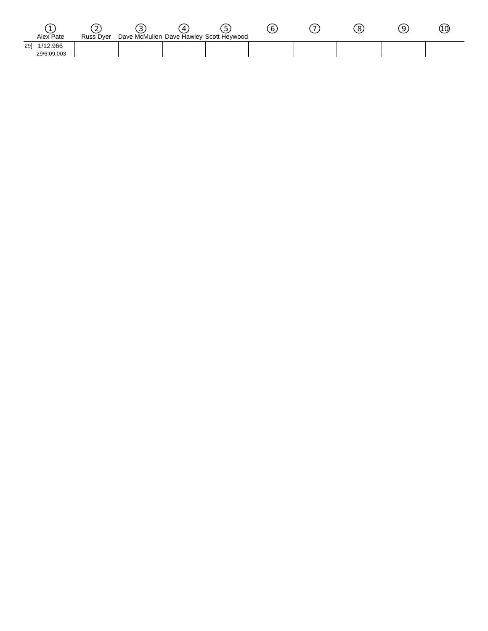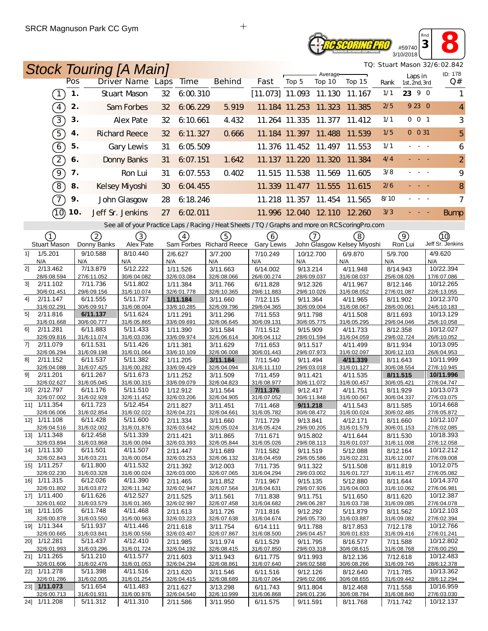## *OSCORING PRO* #59740 3/10/2018

*TQ: Stuart Mason 32/6:02.842*

*Rnd* **<sup>3</sup> 8**

| TQ: Stuart Mason 32/6:02.842<br><b>Stock Touring [A Main]</b> |                         |                                                                                                   |                         |           |                          |                          |                         |                             |                             |                         |                          |     |                          |
|---------------------------------------------------------------|-------------------------|---------------------------------------------------------------------------------------------------|-------------------------|-----------|--------------------------|--------------------------|-------------------------|-----------------------------|-----------------------------|-------------------------|--------------------------|-----|--------------------------|
|                                                               | Pos                     | <b>Driver Name Laps</b>                                                                           |                         | Time      | <b>Behind</b>            | Fast                     | Top 5                   | Average-<br>Top 10          | Top 15                      | Rank                    | Laps in<br>1st, 2nd, 3rd |     | ID: 178<br>Q#            |
| $\left(1\right)$                                              | 1.                      | <b>Stuart Mason</b>                                                                               | 32                      | 6:00.310  |                          | $[11.073]$ 11.093 11.130 |                         |                             | 11.167                      | 1/1                     | 23 9 0                   |     |                          |
| $\sqrt{4}$                                                    | 2.                      | Sam Forbes                                                                                        | 32                      | 6:06.229  | 5.919                    |                          | 11.184 11.253 11.323    |                             | 11.385                      | 2/5                     | 9 23 0                   |     | $\overline{4}$           |
| 3)                                                            | 3.                      | <b>Alex Pate</b>                                                                                  | 32                      | 6:10.661  | 4.432                    |                          | 11.264 11.335           | 11.377                      | 11.412                      | 1/1                     | 001                      |     | 3                        |
| $\left(5\right)$                                              | 4.                      | <b>Richard Reece</b>                                                                              | 32                      | 6: 11.327 | 0.666                    |                          | 11.184 11.397           | 11.488                      | 11.539                      | 1/5                     | $0 \t 0 \t 31$           |     | 5                        |
| $\boxed{6}$                                                   | 5.                      | Gary Lewis                                                                                        | 31                      | 6:05.509  |                          |                          | 11.376 11.452 11.497    |                             | 11.553                      | 1/1                     | $\sim$                   |     | 6                        |
| $\sqrt{2}$                                                    | 6.                      | <b>Donny Banks</b>                                                                                | 31                      | 6:07.151  | 1.642                    |                          |                         | 11.137 11.220 11.320        | 11.384                      | 4/4                     |                          |     | $\overline{2}$           |
| $\Theta$                                                      | 7.                      | Ron Lui                                                                                           | 31                      | 6:07.553  | 0.402                    |                          | 11.515 11.538           | 11.569                      | 11.605                      | 3/8                     |                          |     | 9                        |
| $\Theta$                                                      | 8.                      | Kelsey Myoshi                                                                                     | 30                      | 6:04.455  |                          |                          | 11.339 11.477           | 11.555                      | 11.615                      | 2/6                     |                          |     | 8                        |
| T                                                             | 9.                      | John Glasgow                                                                                      | 28                      | 6:18.246  |                          |                          | 11.218 11.357           | 11.454                      | 11.565                      | 8/10                    |                          |     | 7                        |
| (10)                                                          | 10.                     | Jeff Sr. Jenkins                                                                                  | 27                      | 6:02:011  |                          |                          |                         | 11.996 12.040 12.110 12.260 |                             | 3/3                     |                          |     | <b>Bump</b>              |
|                                                               |                         | See all of your Practice Laps / Racing / Heat Sheets / TQ / Graphs and more on RCS coring Pro.com |                         |           |                          |                          |                         |                             |                             |                         |                          |     |                          |
| (1)                                                           | (2)                     | (3)                                                                                               | (4)                     |           | (5)                      | (6)                      |                         | 7                           | (8)                         |                         | (9)                      |     | (10)                     |
| Stuart Mason                                                  | Donny Banks             | Alex Pate                                                                                         |                         |           | Sam Forbes Richard Reece | <b>Gary Lewis</b>        |                         |                             | John Glasgow Kelsey Miyoshi |                         | Ron Lui                  |     | Jeff Sr. Jenkins         |
| 1/5.201<br>11<br>N/A                                          | 9/10.588<br>N/A         | 8/10.440<br>N/A                                                                                   | 2/6.627<br>N/A          |           | 3/7.200<br>N/A           | 7/10.249<br>N/A          | 10/12.700<br>N/A        |                             | 6/9.870<br>N/A              | 5/9.700<br>N/A          |                          | N/A | 4/9.620                  |
| 21<br>2/13.462<br>28/6:08.594                                 | 7/13.879<br>27/6:11.052 | 5/12.222<br>30/6:04.082                                                                           | 1/11.526<br>32/6:03.084 |           | 3/11.663<br>32/6:08.066  | 6/14.002<br>26/6:00.274  | 9/13.214<br>28/6:09.037 |                             | 4/11.948<br>31/6:08.037     | 8/14.943<br>25/6:08.026 |                          |     | 10/22.394<br>17/6:07.086 |
| 2/11.102<br>31                                                | 7/11.736                | 5/11.802                                                                                          | 1/11.384                |           | 3/11.766                 | 6/11.828                 | 9/12.326                |                             | 4/11.967                    | 8/12.146                |                          |     | 10/12.265                |
| 30/6:01.451<br>4]<br>2/11.147                                 | 29/6:09.156<br>6/11.555 | 31/6:10.074<br>5/11.737                                                                           | 32/6:01.778<br>1/11.184 |           | 32/6:10.365<br>3/11.660  | 29/6:11.883<br>7/12.115  | 29/6:10.026<br>9/11.364 |                             | 31/6:08.052<br>4/11.965     | 27/6:01.087<br>8/11.902 |                          |     | 22/6:13.055<br>10/12.370 |
| 31/6:02.291                                                   | 30/6:09.917             | 31/6:08.004                                                                                       | 33/6:10.285             |           | 32/6:09.796              | 29/6:04.365              | 30/6:09.004             |                             | 31/6:08.067                 | 28/6:00.061             |                          |     | 24/6:10.183              |
| 5 <sup>1</sup><br>2/11.816<br>31/6:01.668                     | 6/11.137<br>30/6:00.777 | 5/11.624<br>31/6:05.865                                                                           | 1/11.291<br>33/6:09.691 |           | 3/11.296<br>32/6:06.645  | 7/11.553<br>30/6:09.131  | 9/11.798<br>30/6:05.775 |                             | 4/11.508<br>31/6:05.295     | 8/11.693<br>29/6:04.046 |                          |     | 10/13.129<br>25/6:10.058 |
| 61<br>2/11.281                                                | 6/11.883                | 5/11.433                                                                                          | 1/11.390                |           | 3/11.584                 | 7/11.512                 | 9/15.909                |                             | 4/11.733                    | 8/12.358                |                          |     | 10/12.027                |
| 32/6:09.816                                                   | 31/6:11.074             | 31/6:03.036                                                                                       | 33/6:09.974             |           | 32/6:06.614              | 30/6:04.112              | 28/6:01.594             |                             | 31/6:04.059                 | 29/6:02.724             |                          |     | 26/6:10.052              |
| 2/11.079<br>71<br>32/6:06.294                                 | 6/11.531<br>31/6:09.198 | 5/11.426<br>31/6:01.064                                                                           | 1/11.381<br>33/6:10.109 |           | 3/11.629<br>32/6:06.008  | 7/11.653<br>30/6:01.443  | 9/11.517<br>29/6:07.973 |                             | 4/11.499<br>31/6:02.097     | 8/11.934<br>30/6:12.103 |                          |     | 10/13.095<br>26/6:04.953 |
| 81<br>2/11.152                                                | 6/11.537                | 5/11.382                                                                                          | 1/11.205                |           | 3/11.184                 | 7/11.540                 | 9/11.494                |                             | 4/11.339                    | 8/11.643                |                          |     | 10/11.999                |
| 32/6:04.088<br>91<br>2/11.201                                 | 31/6:07.425<br>6/11.267 | 31/6:00.282<br>5/11.673                                                                           | 33/6:09.429<br>1/11.252 |           | 32/6:04.094<br>3/11.509  | 31/6:11.110<br>7/11.459  | 29/6:03.018<br>9/11.421 |                             | 31/6:01.127<br>4/11.535     | 30/6:08.554<br>8/11.515 |                          |     | 27/6:10.945<br>10/11.996 |
| 32/6:02.627                                                   | 31/6:05.045             | 31/6:00.315                                                                                       | 33/6:09.079             |           | 32/6:04.823              | 31/6:08.977              | 30/6:11.072             |                             | 31/6:00.457                 | 30/6:05.421             |                          |     | 27/6:04.747              |
| 10] 2/12.797<br>32/6:07.002                                   | 6/11.176<br>31/6:02.928 | 5/11.510<br>32/6:11.452                                                                           | 1/12.912<br>32/6:03.206 |           | 3/11.564<br>32/6:04.905  | 7/11.376<br>31/6:07.052  | 9/12.417<br>30/6:11.848 |                             | 4/11.751<br>31/6:00.067     | 8/11.929<br>30/6:04.337 |                          |     | 10/13.073<br>27/6:03.075 |
| 11] 1/11.354                                                  | 6/11.723                | 5/12.454                                                                                          | 2/11.827                |           | 3/11.451                 | 7/11.468                 | 9/11.218                |                             | 4/11.543                    | 8/11.585                |                          |     | 10/14.668                |
| 32/6:06.006                                                   | 31/6:02.854<br>6/11.428 | 31/6:02.022                                                                                       | 32/6:04.221             |           | 32/6:04.661              | 31/6:05.782              | 30/6:08.472             |                             | 31/6:00.024                 | 30/6:02.485             |                          |     | 27/6:05.872              |
| 12] 1/11.108<br>32/6:04.516                                   | 31/6:02.002             | 5/11.600<br>31/6:01.876                                                                           | 2/11.334<br>32/6:03.642 |           | 3/11.660<br>32/6:05.024  | 7/11.729<br>31/6:05.424  | 9/13.841<br>29/6:00.205 |                             | 4/12.171<br>31/6:01.579     | 8/11.660<br>30/6:01.153 |                          |     | 10/12.107<br>27/6:02.085 |
| 13] 1/11.348                                                  | 6/12.458                | 5/11.339                                                                                          | 2/11.421                |           | 3/11.865                 | 7/11.671                 | 9/15.802                |                             | 4/11.644                    | 8/11.530                |                          |     | 10/18.393                |
| 32/6:03.894<br>14] 1/11.130                                   | 31/6:03.868<br>6/11.501 | 31/6:00.094<br>4/11.507                                                                           | 32/6:03.393<br>2/11.447 |           | 32/6:05.844<br>3/11.689  | 31/6:05.026<br>7/11.582  | 29/6:08.113<br>9/11.519 |                             | 31/6:01.037<br>5/12.088     | 31/6:11.008<br>8/12.164 |                          |     | 27/6:12.058<br>10/12.212 |
| 32/6:02.843                                                   | 31/6:03.231             | 31/6:00.054                                                                                       | 32/6:03.253             |           | 32/6:06.132              | 31/6:04.459              | 29/6:05.586             |                             | 31/6:02.231                 | 31/6:12.007             |                          |     | 27/6:09.008              |
| 15] 1/11.257<br>32/6:02.230                                   | 6/11.800<br>31/6:03.328 | 4/11.532<br>31/6:00.024                                                                           | 2/11.392<br>32/6:03.000 |           | 3/12.003<br>32/6:07.065  | 7/11.735<br>31/6:04.294  | 9/11.322<br>29/6:03.002 |                             | 5/11.508<br>31/6:01.727     | 8/11.819<br>31/6:11.457 |                          |     | 10/12.075<br>27/6:05.082 |
| 16] 1/11.315                                                  | 6/12.026                | 4/11.390                                                                                          | 2/11.465                |           | 3/11.852                 | 7/11.967                 | 9/15.135                |                             | 5/12.880                    | 8/11.644                |                          |     | 10/14.370                |
| 32/6:01.802<br>17] 1/11.400                                   | 31/6:03.872<br>6/11.626 | 32/6:11.342<br>4/12.527                                                                           | 32/6:02.947<br>2/11.525 |           | 32/6:07.564<br>3/11.561  | 31/6:04.631<br>7/11.838  | 29/6:07.926<br>9/11.751 |                             | 31/6:04.003<br>5/11.650     | 31/6:10.062<br>8/11.620 |                          |     | 27/6:06.981<br>10/12.387 |
| 32/6:01.602                                                   | 31/6:03.579             | 31/6:01.365                                                                                       | 32/6:02.997             |           | 32/6:07.458              | 31/6:04.682              | 29/6:06.287             |                             | 31/6:03.738                 | 31/6:09.085             |                          |     | 27/6:04.078              |
| 18] 1/11.105                                                  | 6/11.748                | 4/11.468                                                                                          | 2/11.613                |           | 3/11.726                 | 7/11.816                 | 9/12.292                |                             | 5/11.879                    | 8/11.562                |                          |     | 10/12.103                |
| 32/6:00.878<br>19] 1/11.344                                   | 31/6:03.550<br>5/11.937 | 31/6:00.963<br>4/11.446                                                                           | 32/6:03.223<br>2/11.618 |           | 32/6:07.638<br>3/11.754  | 31/6:04.674<br>6/14.111  | 29/6:05.730<br>9/11.788 |                             | 31/6:03.887<br>8/17.853     | 31/6:09.082<br>7/12.178 |                          |     | 27/6:02.394<br>10/12.766 |
| 32/6:00.665                                                   | 31/6:03.841             | 31/6:00.556                                                                                       | 32/6:03.407             |           | 32/6:07.867              | 31/6:08.500              | 29/6:04.457             |                             | 30/6:01.833                 | 31/6:09.416             |                          |     | 27/6:01.241              |
| 20] 1/12.281<br>32/6:01.993                                   | 5/11.437<br>31/6:03.296 | 4/12.410<br>31/6:01.724                                                                           | 2/11.985<br>32/6:04.192 |           | 3/11.974<br>32/6:08.415  | 6/11.529<br>31/6:07.850  | 9/11.795<br>29/6:03.318 |                             | 8/16.577<br>30/6:08.615     | 7/11.588<br>31/6:08.768 |                          |     | 10/12.802<br>27/6:00.250 |
| 21] 1/11.265                                                  | 5/11.210                | 4/11.577                                                                                          | 2/11.603                |           | 3/11.943                 | 6/11.775                 | 9/11.993                |                             | 8/12.136                    | 7/12.618                |                          |     | 10/12.483                |
| 32/6:01.606<br>22] 1/11.278                                   | 31/6:02.476<br>5/11.398 | 31/6:01.053<br>4/11.516                                                                           | 32/6:04.294<br>2/11.620 |           | 32/6:08.861<br>3/11.546  | 31/6:07.640<br>6/11.516  | 29/6:02.588<br>9/12.126 |                             | 30/6:08.266<br>8/12.640     | 31/6:09.745<br>7/11.785 |                          |     | 28/6:12.378<br>10/13.362 |
| 32/6:01.286                                                   | 31/6:02.005             | 31/6:01.254                                                                                       | 32/6:04.415             |           | 32/6:08.689              | 31/6:07.064              | 29/6:02.086             |                             | 30/6:08.655                 | 31/6:09.442             |                          |     | 28/6:12.294              |
| 23 1/11.073<br>32/6:00.713                                    | 5/11.654<br>31/6:01.931 | 4/11.483<br>31/6:00.976                                                                           | 2/11.627<br>32/6:04.540 |           | 3/13.298<br>32/6:10.999  | 6/11.743<br>31/6:06.868  | 9/11.804<br>29/6:01.236 |                             | 8/12.468<br>30/6:08.784     | 7/11.558<br>31/6:08.840 |                          |     | 10/16.959<br>27/6:03.030 |
| 24] 1/11.208                                                  | 5/11.312                | 4/11.310                                                                                          | 2/11.586                |           | 3/11.950                 | 6/11.575                 | 9/11.591                |                             | 8/11.768                    | 7/11.742                |                          |     | 10/12.137                |

 $\ddot{+}$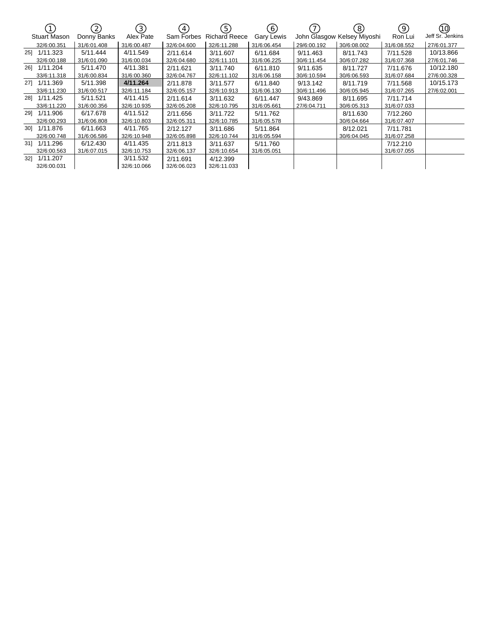|     |                     | 2)          | $\left(3\right)$ | (4)         | (5)           | (6)         |             | $\left(8\right)$            | 9)          | (10)             |
|-----|---------------------|-------------|------------------|-------------|---------------|-------------|-------------|-----------------------------|-------------|------------------|
|     | <b>Stuart Mason</b> | Donny Banks | Alex Pate        | Sam Forbes  | Richard Reece | Gary Lewis  |             | John Glasgow Kelsey Miyoshi | Ron Lui     | Jeff Sr. Jenkins |
|     | 32/6:00.351         | 31/6:01.408 | 31/6:00.487      | 32/6:04.600 | 32/6:11.288   | 31/6:06.454 | 29/6:00.192 | 30/6:08.002                 | 31/6:08.552 | 27/6:01.377      |
| 251 | 1/11.323            | 5/11.444    | 4/11.549         | 2/11.614    | 3/11.607      | 6/11.684    | 9/11.463    | 8/11.743                    | 7/11.528    | 10/13.866        |
|     | 32/6:00.188         | 31/6:01.090 | 31/6:00.034      | 32/6:04.680 | 32/6:11.101   | 31/6:06.225 | 30/6:11.454 | 30/6:07.282                 | 31/6:07.368 | 27/6:01.746      |
|     | 261 1/11.204        | 5/11.470    | 4/11.381         | 2/11.621    | 3/11.740      | 6/11.810    | 9/11.635    | 8/11.727                    | 7/11.676    | 10/12.180        |
|     | 33/6:11.318         | 31/6:00.834 | 31/6:00.360      | 32/6:04.767 | 32/6:11.102   | 31/6:06.158 | 30/6:10.594 | 30/6:06.593                 | 31/6:07.684 | 27/6:00.328      |
|     | 27] 1/11.369        | 5/11.398    | 4/11.264         | 2/11.878    | 3/11.577      | 6/11.840    | 9/13.142    | 8/11.719                    | 7/11.568    | 10/15.173        |
|     | 33/6:11.230         | 31/6:00.517 | 32/6:11.184      | 32/6:05.157 | 32/6:10.913   | 31/6:06.130 | 30/6:11.496 | 30/6:05.945                 | 31/6:07.265 | 27/6:02.001      |
| 281 | 1/11.425            | 5/11.521    | 4/11.415         | 2/11.614    | 3/11.632      | 6/11.447    | 9/43.869    | 8/11.695                    | 7/11.714    |                  |
|     | 33/6:11.220         | 31/6:00.356 | 32/6:10.935      | 32/6:05.208 | 32/6:10.795   | 31/6:05.661 | 27/6:04.711 | 30/6:05.313                 | 31/6:07.033 |                  |
|     | 291 1/11.906        | 6/17.678    | 4/11.512         | 2/11.656    | 3/11.722      | 5/11.762    |             | 8/11.630                    | 7/12.260    |                  |
|     | 32/6:00.293         | 31/6:06.808 | 32/6:10.803      | 32/6:05.311 | 32/6:10.785   | 31/6:05.578 |             | 30/6:04.664                 | 31/6:07.407 |                  |
|     | 301 1/11.876        | 6/11.663    | 4/11.765         | 2/12.127    | 3/11.686      | 5/11.864    |             | 8/12.021                    | 7/11.781    |                  |
|     | 32/6:00.748         | 31/6:06.586 | 32/6:10.948      | 32/6:05.898 | 32/6:10.744   | 31/6:05.594 |             | 30/6:04.045                 | 31/6:07.258 |                  |
|     | 31] 1/11.296        | 6/12.430    | 4/11.435         | 2/11.813    | 3/11.637      | 5/11.760    |             |                             | 7/12.210    |                  |
|     | 32/6:00.563         | 31/6:07.015 | 32/6:10.753      | 32/6:06.137 | 32/6:10.654   | 31/6:05.051 |             |                             | 31/6:07.055 |                  |
| 321 | 1/11.207            |             | 3/11.532         | 2/11.691    | 4/12.399      |             |             |                             |             |                  |
|     | 32/6:00.031         |             | 32/6:10.066      | 32/6:06.023 | 32/6:11.033   |             |             |                             |             |                  |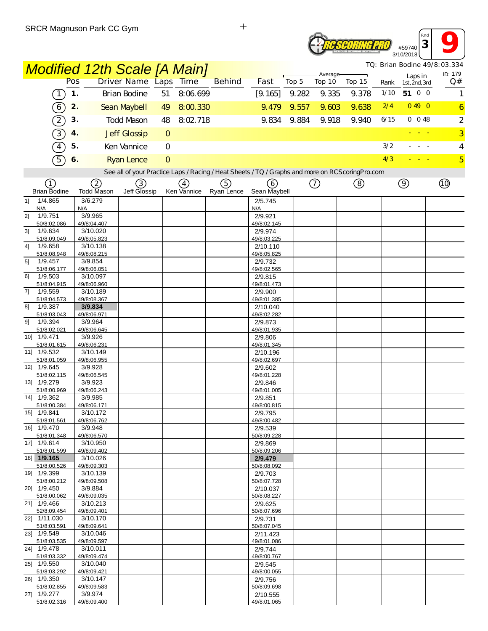#### **<sup>3</sup> 9** *Rnd* **Reseoring PRO** #59740 3/10/2018

*TQ: Brian Bodine 49/8:03.334*

|                                                                                                 | <b>Modified 12th Scale [A Main]</b> |                     |              |             |               |                         |       |                    |        |      |                          |  | TQ: Brian Bodine 49/8:03.334<br>ID: 179 |
|-------------------------------------------------------------------------------------------------|-------------------------------------|---------------------|--------------|-------------|---------------|-------------------------|-------|--------------------|--------|------|--------------------------|--|-----------------------------------------|
|                                                                                                 | Pos                                 | Driver Name Laps    |              | <b>Time</b> | <b>Behind</b> | Fast                    | Top 5 | Average-<br>Top 10 | Top 15 | Rank | Laps in<br>1st, 2nd, 3rd |  | Q#                                      |
| $\left(1\right)$                                                                                | 1.                                  | Brian Bodine        | 51           | 8:06.699    |               | [9.165]                 | 9.282 | 9.335              | 9.378  | 1/10 | 51 0 0                   |  | 1                                       |
| $\odot$                                                                                         | 2.                                  | Sean Maybell        | 49           | 8:00.330    |               | 9.479                   | 9.557 | 9.603              | 9.638  | 2/4  | 0490                     |  | $\overline{6}$                          |
| $\left( 2\right)$                                                                               | 3.                                  | <b>Todd Mason</b>   | 48           | 8:02.718    |               | 9.834                   | 9.884 | 9.918              | 9.940  | 6/15 | $0$ 0 48                 |  | 2                                       |
| $\overline{3}$                                                                                  | 4.                                  | <b>Jeff Glossip</b> | $\circ$      |             |               |                         |       |                    |        |      |                          |  | $\overline{3}$                          |
| $\boxed{4}$                                                                                     | 5.                                  | Ken Vannice         | $\mathbf{O}$ |             |               |                         |       |                    |        | 3/2  |                          |  | 4                                       |
| $\sqrt{5}$                                                                                      | 6.                                  | <b>Ryan Lence</b>   | $\Omega$     |             |               |                         |       |                    |        | 4/3  |                          |  | $\overline{5}$                          |
| See all of your Practice Laps / Racing / Heat Sheets / TQ / Graphs and more on RCScoringPro.com |                                     |                     |              |             |               |                         |       |                    |        |      |                          |  |                                         |
| (1)                                                                                             | 2                                   | 3)                  |              | (4)         | (5)           | (6)                     |       | (7)                | (8)    |      | $\circled{9}$            |  | Q)                                      |
| <b>Brian Bodine</b>                                                                             | <b>Todd Mason</b>                   | Jeff Glossip        |              | Ken Vannice | Ryan Lence    | Sean Maybell            |       |                    |        |      |                          |  |                                         |
| 1/4.865<br>11<br>N/A                                                                            | 3/6.279<br>N/A                      |                     |              |             |               | 2/5.745<br>N/A          |       |                    |        |      |                          |  |                                         |
| 1/9.751<br>2]                                                                                   | 3/9.965                             |                     |              |             |               | 2/9.921                 |       |                    |        |      |                          |  |                                         |
| 50/8:02.086<br>1/9.634<br>31                                                                    | 49/8:04.407<br>3/10.020             |                     |              |             |               | 49/8:02.145<br>2/9.974  |       |                    |        |      |                          |  |                                         |
| 51/8:09.049                                                                                     | 49/8:05.823                         |                     |              |             |               | 49/8:03.225             |       |                    |        |      |                          |  |                                         |
| 1/9.658<br>4]                                                                                   | 3/10.138                            |                     |              |             |               | 2/10.110                |       |                    |        |      |                          |  |                                         |
| 51/8:08.948<br>1/9.457<br>5]                                                                    | 49/8:08.215<br>3/9.854              |                     |              |             |               | 49/8:05.825<br>2/9.732  |       |                    |        |      |                          |  |                                         |
| 51/8:06.177                                                                                     | 49/8:06.051                         |                     |              |             |               | 49/8:02.565             |       |                    |        |      |                          |  |                                         |
| 1/9.503<br>61<br>51/8:04.915                                                                    | 3/10.097<br>49/8:06.960             |                     |              |             |               | 2/9.815<br>49/8:01.473  |       |                    |        |      |                          |  |                                         |
| 1/9.559<br>7]                                                                                   | 3/10.189                            |                     |              |             |               | 2/9.900                 |       |                    |        |      |                          |  |                                         |
| 51/8:04.573                                                                                     | 49/8:08.367                         |                     |              |             |               | 49/8:01.385             |       |                    |        |      |                          |  |                                         |
| 1/9.387<br>81<br>51/8:03.043                                                                    | 3/9.834<br>49/8:06.971              |                     |              |             |               | 2/10.040<br>49/8:02.282 |       |                    |        |      |                          |  |                                         |
| 1/9.394<br>91                                                                                   | 3/9.964                             |                     |              |             |               | 2/9.873                 |       |                    |        |      |                          |  |                                         |
| 51/8:02.021                                                                                     | 49/8:06.645                         |                     |              |             |               | 49/8:01.935             |       |                    |        |      |                          |  |                                         |
| 10] 1/9.471<br>51/8:01.615                                                                      | 3/9.926<br>49/8:06.231              |                     |              |             |               | 2/9.806<br>49/8:01.345  |       |                    |        |      |                          |  |                                         |
| 11] 1/9.532                                                                                     | 3/10.149                            |                     |              |             |               | 2/10.196                |       |                    |        |      |                          |  |                                         |
| 51/8:01.059<br>12] 1/9.645                                                                      | 49/8:06.955                         |                     |              |             |               | 49/8:02.697             |       |                    |        |      |                          |  |                                         |
| 51/8:02.115                                                                                     | 3/9.928<br>49/8:06.545              |                     |              |             |               | 2/9.602<br>49/8:01.228  |       |                    |        |      |                          |  |                                         |
| 13] 1/9.279                                                                                     | 3/9.923                             |                     |              |             |               | 2/9.846                 |       |                    |        |      |                          |  |                                         |
| 51/8:00.969<br>14] 1/9.362                                                                      | 49/8:06.243<br>3/9.985              |                     |              |             |               | 49/8:01.005<br>2/9.851  |       |                    |        |      |                          |  |                                         |
| 51/8:00.384                                                                                     | 49/8:06.171                         |                     |              |             |               | 49/8:00.815             |       |                    |        |      |                          |  |                                         |
| 15] 1/9.841                                                                                     | 3/10.172                            |                     |              |             |               | 2/9.795                 |       |                    |        |      |                          |  |                                         |
| 51/8:01.561<br>16] 1/9.470                                                                      | 49/8:06.762<br>3/9.948              |                     |              |             |               | 49/8:00 482<br>2/9.539  |       |                    |        |      |                          |  |                                         |
| 51/8:01.348                                                                                     | 49/8:06.570                         |                     |              |             |               | 50/8:09.228             |       |                    |        |      |                          |  |                                         |
| 17] 1/9.614<br>51/8:01.599                                                                      | 3/10.950                            |                     |              |             |               | 2/9.869                 |       |                    |        |      |                          |  |                                         |
| 18] 1/9.165                                                                                     | 49/8:09.402<br>3/10.026             |                     |              |             |               | 50/8:09.206<br>2/9.479  |       |                    |        |      |                          |  |                                         |
| 51/8:00.526                                                                                     | 49/8:09.303                         |                     |              |             |               | 50/8:08.092             |       |                    |        |      |                          |  |                                         |
| 19] 1/9.399<br>51/8:00.212                                                                      | 3/10.139<br>49/8:09.508             |                     |              |             |               | 2/9.703<br>50/8:07.728  |       |                    |        |      |                          |  |                                         |
| 20] 1/9.450                                                                                     | 3/9.884                             |                     |              |             |               | 2/10.037                |       |                    |        |      |                          |  |                                         |
| 51/8:00.062                                                                                     | 49/8:09.035                         |                     |              |             |               | 50/8:08.227             |       |                    |        |      |                          |  |                                         |
| 21] 1/9.466<br>52/8:09.454                                                                      | 3/10.213<br>49/8:09.401             |                     |              |             |               | 2/9.625<br>50/8:07.696  |       |                    |        |      |                          |  |                                         |
| 22] 1/11.030                                                                                    | 3/10.170                            |                     |              |             |               | 2/9.731                 |       |                    |        |      |                          |  |                                         |
| 51/8:03.591<br>23] 1/9.549                                                                      | 49/8:09.641<br>3/10.046             |                     |              |             |               | 50/8:07.045             |       |                    |        |      |                          |  |                                         |
| 51/8:03.535                                                                                     | 49/8:09.597                         |                     |              |             |               | 2/11.423<br>49/8:01.086 |       |                    |        |      |                          |  |                                         |
| 24] 1/9.478                                                                                     | 3/10.011                            |                     |              |             |               | 2/9.744                 |       |                    |        |      |                          |  |                                         |
| 51/8:03.332<br>25] 1/9.550                                                                      | 49/8:09.474<br>3/10.040             |                     |              |             |               | 49/8:00.767<br>2/9.545  |       |                    |        |      |                          |  |                                         |
| 51/8:03.292                                                                                     | 49/8:09.421                         |                     |              |             |               | 49/8:00.055             |       |                    |        |      |                          |  |                                         |
| 26] 1/9.350                                                                                     | 3/10.147                            |                     |              |             |               | 2/9.756                 |       |                    |        |      |                          |  |                                         |
| 51/8:02.855<br>27] 1/9.277                                                                      | 49/8:09.583<br>3/9.974              |                     |              |             |               | 50/8:09.698<br>2/10.555 |       |                    |        |      |                          |  |                                         |
| 51/8:02.316                                                                                     | 49/8:09.400                         |                     |              |             |               | 49/8:01.065             |       |                    |        |      |                          |  |                                         |